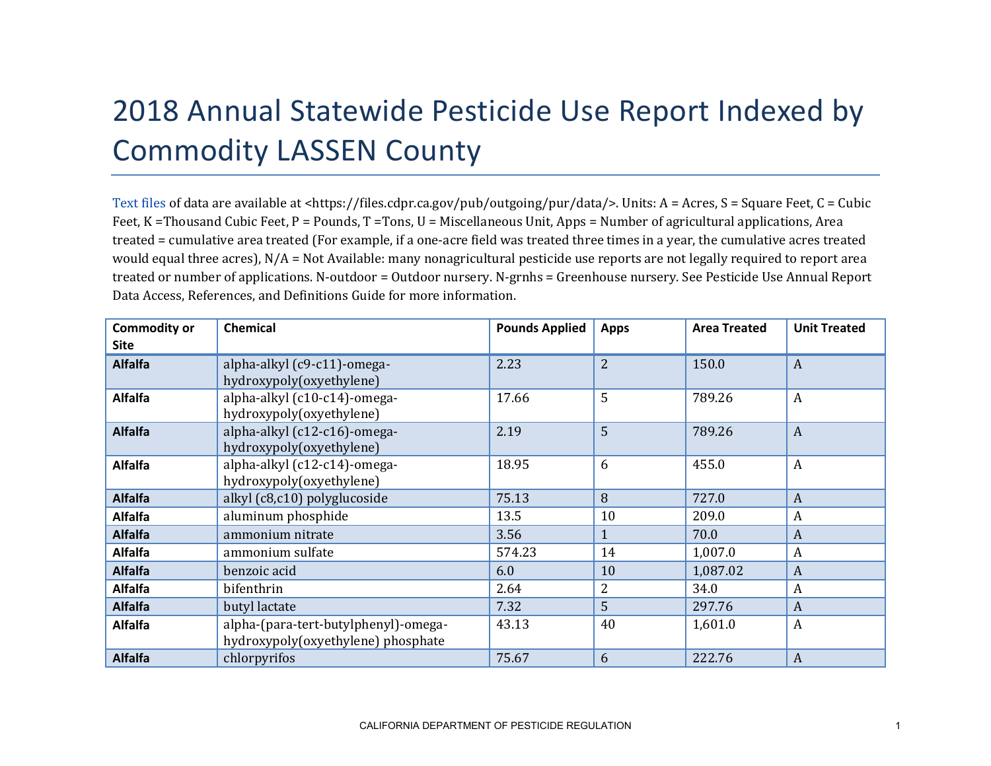## 2018 Annual Statewide Pesticide Use Report Indexed by Commodity LASSEN County

[Text files](https://files.cdpr.ca.gov/pub/outgoing/pur/data/) of data are available at <https://files.cdpr.ca.gov/pub/outgoing/pur/data/>. Units: A = Acres, S = Square Feet, C = Cubic Feet, K = Thousand Cubic Feet, P = Pounds, T = Tons, U = Miscellaneous Unit, Apps = Number of agricultural applications, Area treated = cumulative area treated (For example, if a one-acre field was treated three times in a year, the cumulative acres treated would equal three acres), N/A = Not Available: many nonagricultural pesticide use reports are not legally required to report area treated or number of applications. N-outdoor = Outdoor nursery. N-grnhs = Greenhouse nursery. See Pesticide Use Annual Report Data Access, References, and Definitions Guide for more information.

| <b>Commodity or</b><br>Site | <b>Chemical</b>                                                            | <b>Pounds Applied</b> | <b>Apps</b>    | <b>Area Treated</b> | <b>Unit Treated</b> |
|-----------------------------|----------------------------------------------------------------------------|-----------------------|----------------|---------------------|---------------------|
| <b>Alfalfa</b>              | alpha-alkyl (c9-c11)-omega-<br>hydroxypoly(oxyethylene)                    | 2.23                  | $\overline{2}$ | 150.0               | $\overline{A}$      |
| <b>Alfalfa</b>              | alpha-alkyl (c10-c14)-omega-<br>hydroxypoly(oxyethylene)                   | 17.66                 | 5              | 789.26              | $\overline{A}$      |
| <b>Alfalfa</b>              | alpha-alkyl (c12-c16)-omega-<br>hydroxypoly(oxyethylene)                   | 2.19                  | 5              | 789.26              | $\overline{A}$      |
| <b>Alfalfa</b>              | alpha-alkyl (c12-c14)-omega-<br>hydroxypoly(oxyethylene)                   | 18.95                 | 6              | 455.0               | $\boldsymbol{A}$    |
| <b>Alfalfa</b>              | alkyl (c8,c10) polyglucoside                                               | 75.13                 | 8              | 727.0               | $\boldsymbol{A}$    |
| <b>Alfalfa</b>              | aluminum phosphide                                                         | 13.5                  | 10             | 209.0               | A                   |
| <b>Alfalfa</b>              | ammonium nitrate                                                           | 3.56                  | $\mathbf{1}$   | 70.0                | $\boldsymbol{A}$    |
| <b>Alfalfa</b>              | ammonium sulfate                                                           | 574.23                | 14             | 1,007.0             | A                   |
| <b>Alfalfa</b>              | benzoic acid                                                               | 6.0                   | 10             | 1,087.02            | $\boldsymbol{A}$    |
| <b>Alfalfa</b>              | bifenthrin                                                                 | 2.64                  | $\overline{2}$ | 34.0                | A                   |
| <b>Alfalfa</b>              | butyl lactate                                                              | 7.32                  | 5              | 297.76              | $\boldsymbol{A}$    |
| <b>Alfalfa</b>              | alpha-(para-tert-butylphenyl)-omega-<br>hydroxypoly(oxyethylene) phosphate | 43.13                 | 40             | 1,601.0             | A                   |
| <b>Alfalfa</b>              | chlorpyrifos                                                               | 75.67                 | 6              | 222.76              | $\overline{A}$      |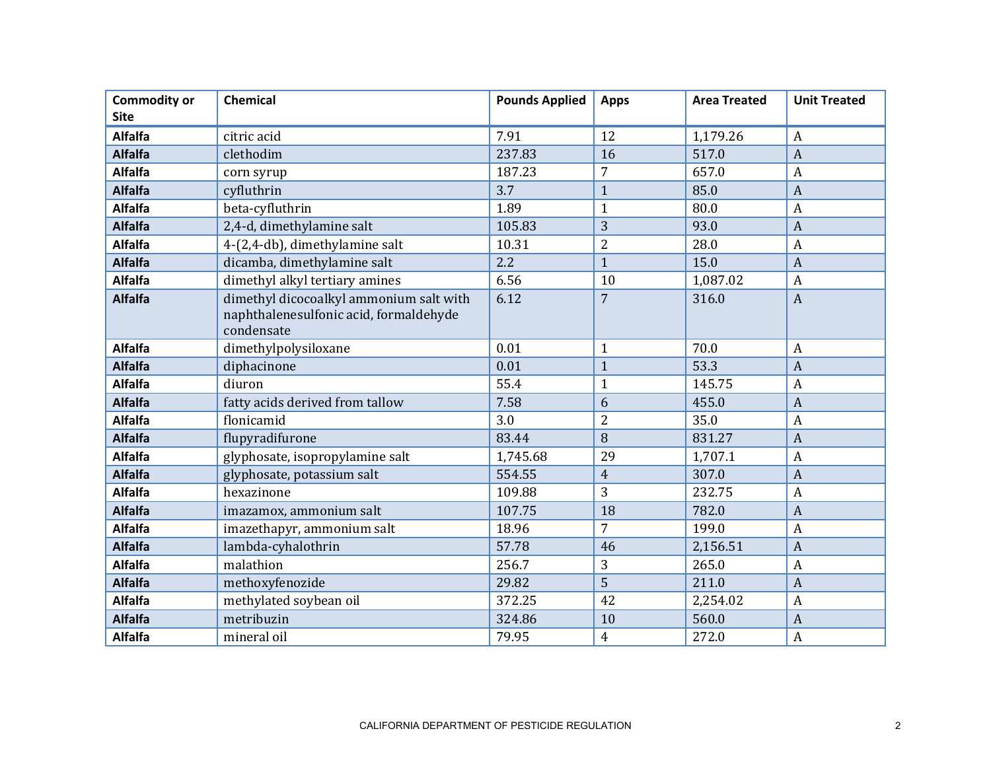| <b>Commodity or</b> | <b>Chemical</b>                                                                                 | <b>Pounds Applied</b> | <b>Apps</b>    | <b>Area Treated</b> | <b>Unit Treated</b> |
|---------------------|-------------------------------------------------------------------------------------------------|-----------------------|----------------|---------------------|---------------------|
| <b>Site</b>         |                                                                                                 |                       |                |                     |                     |
| <b>Alfalfa</b>      | citric acid                                                                                     | 7.91                  | 12             | 1,179.26            | A                   |
| <b>Alfalfa</b>      | clethodim                                                                                       | 237.83                | 16             | 517.0               | $\overline{A}$      |
| <b>Alfalfa</b>      | corn syrup                                                                                      | 187.23                | 7              | 657.0               | $\overline{A}$      |
| <b>Alfalfa</b>      | cyfluthrin                                                                                      | 3.7                   | $\mathbf{1}$   | 85.0                | $\overline{A}$      |
| <b>Alfalfa</b>      | beta-cyfluthrin                                                                                 | 1.89                  | $\mathbf{1}$   | 80.0                | $\overline{A}$      |
| <b>Alfalfa</b>      | 2,4-d, dimethylamine salt                                                                       | 105.83                | 3              | 93.0                | $\overline{A}$      |
| <b>Alfalfa</b>      | 4-(2,4-db), dimethylamine salt                                                                  | 10.31                 | $\overline{2}$ | 28.0                | $\overline{A}$      |
| <b>Alfalfa</b>      | dicamba, dimethylamine salt                                                                     | 2.2                   | $\mathbf{1}$   | 15.0                | $\overline{A}$      |
| <b>Alfalfa</b>      | dimethyl alkyl tertiary amines                                                                  | 6.56                  | 10             | 1,087.02            | A                   |
| <b>Alfalfa</b>      | dimethyl dicocoalkyl ammonium salt with<br>naphthalenesulfonic acid, formaldehyde<br>condensate | 6.12                  | $\overline{7}$ | 316.0               | $\overline{A}$      |
| <b>Alfalfa</b>      | dimethylpolysiloxane                                                                            | 0.01                  | $\mathbf{1}$   | 70.0                | $\boldsymbol{A}$    |
| <b>Alfalfa</b>      | diphacinone                                                                                     | 0.01                  | $\mathbf{1}$   | 53.3                | $\overline{A}$      |
| <b>Alfalfa</b>      | diuron                                                                                          | 55.4                  | $\mathbf{1}$   | 145.75              | $\overline{A}$      |
| <b>Alfalfa</b>      | fatty acids derived from tallow                                                                 | 7.58                  | 6              | 455.0               | $\overline{A}$      |
| <b>Alfalfa</b>      | flonicamid                                                                                      | 3.0                   | $\overline{2}$ | 35.0                | $\overline{A}$      |
| <b>Alfalfa</b>      | flupyradifurone                                                                                 | 83.44                 | 8              | 831.27              | $\overline{A}$      |
| <b>Alfalfa</b>      | glyphosate, isopropylamine salt                                                                 | 1,745.68              | 29             | 1,707.1             | $\overline{A}$      |
| <b>Alfalfa</b>      | glyphosate, potassium salt                                                                      | 554.55                | $\overline{4}$ | 307.0               | $\overline{A}$      |
| <b>Alfalfa</b>      | hexazinone                                                                                      | 109.88                | 3              | 232.75              | $\overline{A}$      |
| <b>Alfalfa</b>      | imazamox, ammonium salt                                                                         | 107.75                | 18             | 782.0               | $\overline{A}$      |
| <b>Alfalfa</b>      | imazethapyr, ammonium salt                                                                      | 18.96                 | $\overline{7}$ | 199.0               | $\overline{A}$      |
| <b>Alfalfa</b>      | lambda-cyhalothrin                                                                              | 57.78                 | 46             | 2,156.51            | $\overline{A}$      |
| <b>Alfalfa</b>      | malathion                                                                                       | 256.7                 | 3              | 265.0               | $\boldsymbol{A}$    |
| <b>Alfalfa</b>      | methoxyfenozide                                                                                 | 29.82                 | 5              | 211.0               | $\overline{A}$      |
| <b>Alfalfa</b>      | methylated soybean oil                                                                          | 372.25                | 42             | 2,254.02            | $\overline{A}$      |
| <b>Alfalfa</b>      | metribuzin                                                                                      | 324.86                | 10             | 560.0               | $\overline{A}$      |
| <b>Alfalfa</b>      | mineral oil                                                                                     | 79.95                 | $\overline{4}$ | 272.0               | $\boldsymbol{A}$    |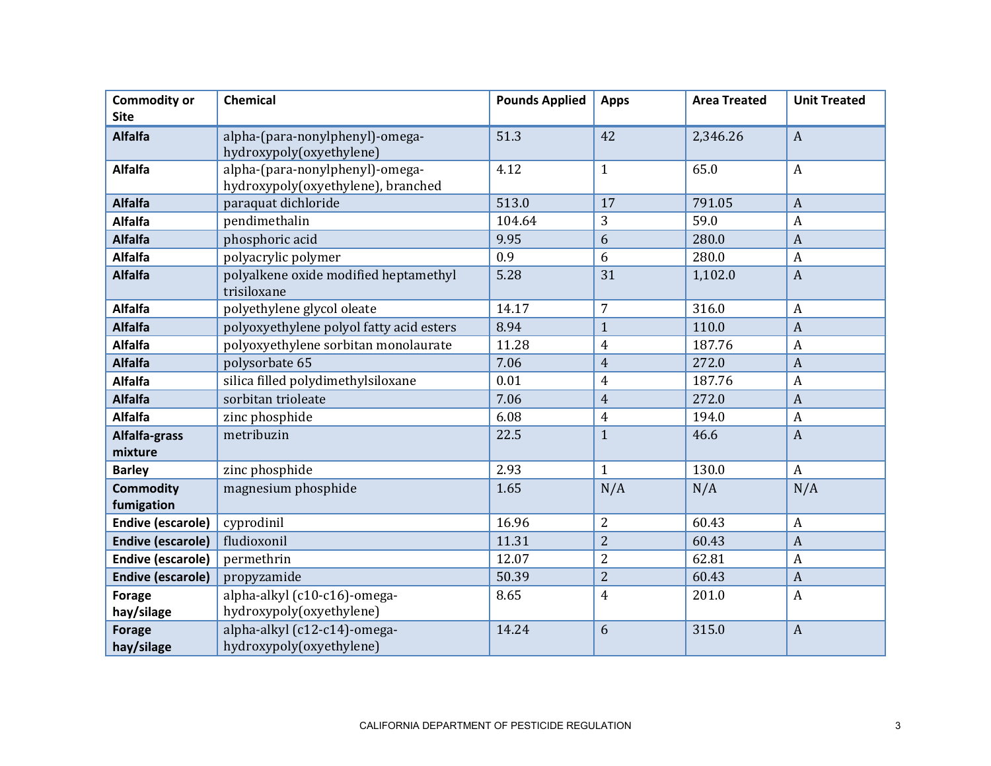| <b>Commodity or</b>            | <b>Chemical</b>                                                       | <b>Pounds Applied</b> | <b>Apps</b>    | <b>Area Treated</b> | <b>Unit Treated</b> |
|--------------------------------|-----------------------------------------------------------------------|-----------------------|----------------|---------------------|---------------------|
| <b>Site</b>                    |                                                                       |                       |                |                     |                     |
| <b>Alfalfa</b>                 | alpha-(para-nonylphenyl)-omega-<br>hydroxypoly(oxyethylene)           | 51.3                  | 42             | 2,346.26            | $\boldsymbol{A}$    |
| <b>Alfalfa</b>                 | alpha-(para-nonylphenyl)-omega-<br>hydroxypoly(oxyethylene), branched | 4.12                  | $\mathbf{1}$   | 65.0                | $\boldsymbol{A}$    |
| <b>Alfalfa</b>                 | paraquat dichloride                                                   | 513.0                 | 17             | 791.05              | $\overline{A}$      |
| <b>Alfalfa</b>                 | pendimethalin                                                         | 104.64                | 3              | 59.0                | $\boldsymbol{A}$    |
| <b>Alfalfa</b>                 | phosphoric acid                                                       | 9.95                  | 6              | 280.0               | $\overline{A}$      |
| <b>Alfalfa</b>                 | polyacrylic polymer                                                   | 0.9                   | 6              | 280.0               | $\mathbf{A}$        |
| <b>Alfalfa</b>                 | polyalkene oxide modified heptamethyl<br>trisiloxane                  | 5.28                  | 31             | 1,102.0             | $\boldsymbol{A}$    |
| <b>Alfalfa</b>                 | polyethylene glycol oleate                                            | 14.17                 | $\overline{7}$ | 316.0               | $\overline{A}$      |
| <b>Alfalfa</b>                 | polyoxyethylene polyol fatty acid esters                              | 8.94                  | $\mathbf{1}$   | 110.0               | $\boldsymbol{A}$    |
| <b>Alfalfa</b>                 | polyoxyethylene sorbitan monolaurate                                  | 11.28                 | $\overline{4}$ | 187.76              | $\boldsymbol{A}$    |
| <b>Alfalfa</b>                 | polysorbate 65                                                        | 7.06                  | $\overline{4}$ | 272.0               | $\overline{A}$      |
| Alfalfa                        | silica filled polydimethylsiloxane                                    | 0.01                  | $\overline{4}$ | 187.76              | $\boldsymbol{A}$    |
| <b>Alfalfa</b>                 | sorbitan trioleate                                                    | 7.06                  | $\overline{4}$ | 272.0               | $\overline{A}$      |
| <b>Alfalfa</b>                 | zinc phosphide                                                        | 6.08                  | $\overline{4}$ | 194.0               | $\overline{A}$      |
| Alfalfa-grass<br>mixture       | metribuzin                                                            | 22.5                  | $\mathbf{1}$   | 46.6                | $\overline{A}$      |
| <b>Barley</b>                  | zinc phosphide                                                        | 2.93                  | $\mathbf{1}$   | 130.0               | $\overline{A}$      |
| <b>Commodity</b><br>fumigation | magnesium phosphide                                                   | 1.65                  | N/A            | N/A                 | N/A                 |
| <b>Endive (escarole)</b>       | cyprodinil                                                            | 16.96                 | $\overline{2}$ | 60.43               | $\overline{A}$      |
| <b>Endive (escarole)</b>       | fludioxonil                                                           | 11.31                 | $\overline{2}$ | 60.43               | $\boldsymbol{A}$    |
| <b>Endive (escarole)</b>       | permethrin                                                            | 12.07                 | $\overline{2}$ | 62.81               | $\boldsymbol{A}$    |
| <b>Endive (escarole)</b>       | propyzamide                                                           | 50.39                 | $\overline{2}$ | 60.43               | $\overline{A}$      |
| <b>Forage</b><br>hay/silage    | alpha-alkyl (c10-c16)-omega-<br>hydroxypoly(oxyethylene)              | 8.65                  | $\overline{4}$ | 201.0               | $\mathbf{A}$        |
| <b>Forage</b><br>hay/silage    | alpha-alkyl (c12-c14)-omega-<br>hydroxypoly(oxyethylene)              | 14.24                 | 6              | 315.0               | $\overline{A}$      |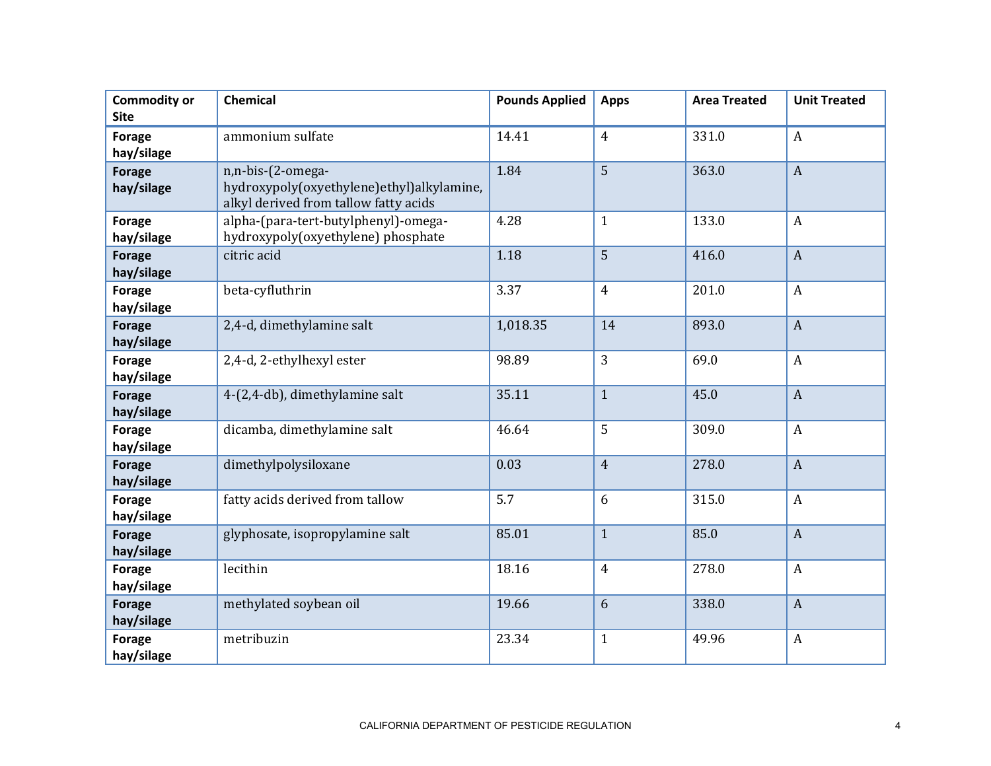| <b>Commodity or</b><br><b>Site</b> | <b>Chemical</b>                                                                                         | <b>Pounds Applied</b> | <b>Apps</b>    | <b>Area Treated</b> | <b>Unit Treated</b> |
|------------------------------------|---------------------------------------------------------------------------------------------------------|-----------------------|----------------|---------------------|---------------------|
| Forage<br>hay/silage               | ammonium sulfate                                                                                        | 14.41                 | $\overline{4}$ | 331.0               | $\boldsymbol{A}$    |
| <b>Forage</b><br>hay/silage        | n,n-bis-(2-omega-<br>hydroxypoly(oxyethylene)ethyl)alkylamine,<br>alkyl derived from tallow fatty acids | 1.84                  | 5              | 363.0               | $\boldsymbol{A}$    |
| Forage<br>hay/silage               | alpha-(para-tert-butylphenyl)-omega-<br>hydroxypoly(oxyethylene) phosphate                              | 4.28                  | $\mathbf{1}$   | 133.0               | $\boldsymbol{A}$    |
| <b>Forage</b><br>hay/silage        | citric acid                                                                                             | 1.18                  | 5              | 416.0               | $\mathbf{A}$        |
| <b>Forage</b><br>hay/silage        | beta-cyfluthrin                                                                                         | 3.37                  | $\overline{4}$ | 201.0               | $\boldsymbol{A}$    |
| <b>Forage</b><br>hay/silage        | 2,4-d, dimethylamine salt                                                                               | 1,018.35              | 14             | 893.0               | $\boldsymbol{A}$    |
| <b>Forage</b><br>hay/silage        | 2,4-d, 2-ethylhexyl ester                                                                               | 98.89                 | $\overline{3}$ | 69.0                | $\mathbf{A}$        |
| <b>Forage</b><br>hay/silage        | 4-(2,4-db), dimethylamine salt                                                                          | 35.11                 | $\mathbf{1}$   | 45.0                | $\mathbf{A}$        |
| <b>Forage</b><br>hay/silage        | dicamba, dimethylamine salt                                                                             | 46.64                 | 5              | 309.0               | $\boldsymbol{A}$    |
| <b>Forage</b><br>hay/silage        | dimethylpolysiloxane                                                                                    | 0.03                  | $\overline{4}$ | 278.0               | $\overline{A}$      |
| <b>Forage</b><br>hay/silage        | fatty acids derived from tallow                                                                         | 5.7                   | 6              | 315.0               | $\boldsymbol{A}$    |
| <b>Forage</b><br>hay/silage        | glyphosate, isopropylamine salt                                                                         | 85.01                 | $\mathbf{1}$   | 85.0                | $\boldsymbol{A}$    |
| <b>Forage</b><br>hay/silage        | lecithin                                                                                                | 18.16                 | $\overline{4}$ | 278.0               | $\boldsymbol{A}$    |
| <b>Forage</b><br>hay/silage        | methylated soybean oil                                                                                  | 19.66                 | 6              | 338.0               | $\overline{A}$      |
| <b>Forage</b><br>hay/silage        | metribuzin                                                                                              | 23.34                 | $\mathbf{1}$   | 49.96               | $\boldsymbol{A}$    |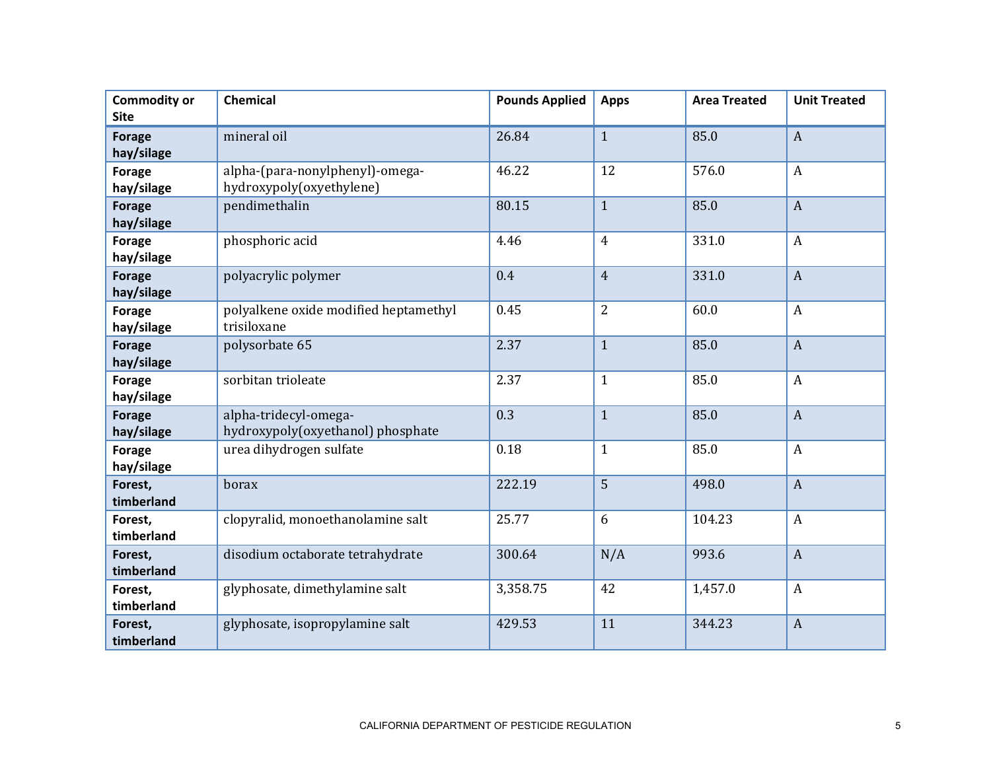| <b>Commodity or</b><br><b>Site</b> | <b>Chemical</b>                                             | <b>Pounds Applied</b> | <b>Apps</b>    | <b>Area Treated</b> | <b>Unit Treated</b> |
|------------------------------------|-------------------------------------------------------------|-----------------------|----------------|---------------------|---------------------|
| <b>Forage</b><br>hay/silage        | mineral oil                                                 | 26.84                 | $\mathbf{1}$   | 85.0                | $\boldsymbol{A}$    |
| <b>Forage</b><br>hay/silage        | alpha-(para-nonylphenyl)-omega-<br>hydroxypoly(oxyethylene) | 46.22                 | 12             | 576.0               | $\boldsymbol{A}$    |
| <b>Forage</b><br>hay/silage        | pendimethalin                                               | 80.15                 | $\mathbf{1}$   | 85.0                | $\boldsymbol{A}$    |
| <b>Forage</b><br>hay/silage        | phosphoric acid                                             | 4.46                  | $\overline{4}$ | 331.0               | $\boldsymbol{A}$    |
| <b>Forage</b><br>hay/silage        | polyacrylic polymer                                         | 0.4                   | $\overline{4}$ | 331.0               | $\overline{A}$      |
| <b>Forage</b><br>hay/silage        | polyalkene oxide modified heptamethyl<br>trisiloxane        | 0.45                  | 2              | 60.0                | $\boldsymbol{A}$    |
| <b>Forage</b><br>hay/silage        | polysorbate 65                                              | 2.37                  | $\mathbf{1}$   | 85.0                | $\boldsymbol{A}$    |
| <b>Forage</b><br>hay/silage        | sorbitan trioleate                                          | 2.37                  | $\mathbf{1}$   | 85.0                | $\boldsymbol{A}$    |
| <b>Forage</b><br>hay/silage        | alpha-tridecyl-omega-<br>hydroxypoly(oxyethanol) phosphate  | 0.3                   | $\mathbf{1}$   | 85.0                | $\boldsymbol{A}$    |
| <b>Forage</b><br>hay/silage        | urea dihydrogen sulfate                                     | 0.18                  | $\mathbf{1}$   | 85.0                | $\boldsymbol{A}$    |
| Forest,<br>timberland              | borax                                                       | 222.19                | $\overline{5}$ | 498.0               | $\overline{A}$      |
| Forest,<br>timberland              | clopyralid, monoethanolamine salt                           | 25.77                 | 6              | 104.23              | $\boldsymbol{A}$    |
| Forest,<br>timberland              | disodium octaborate tetrahydrate                            | 300.64                | N/A            | 993.6               | $\boldsymbol{A}$    |
| Forest,<br>timberland              | glyphosate, dimethylamine salt                              | 3,358.75              | 42             | 1,457.0             | $\boldsymbol{A}$    |
| Forest,<br>timberland              | glyphosate, isopropylamine salt                             | 429.53                | 11             | 344.23              | $\boldsymbol{A}$    |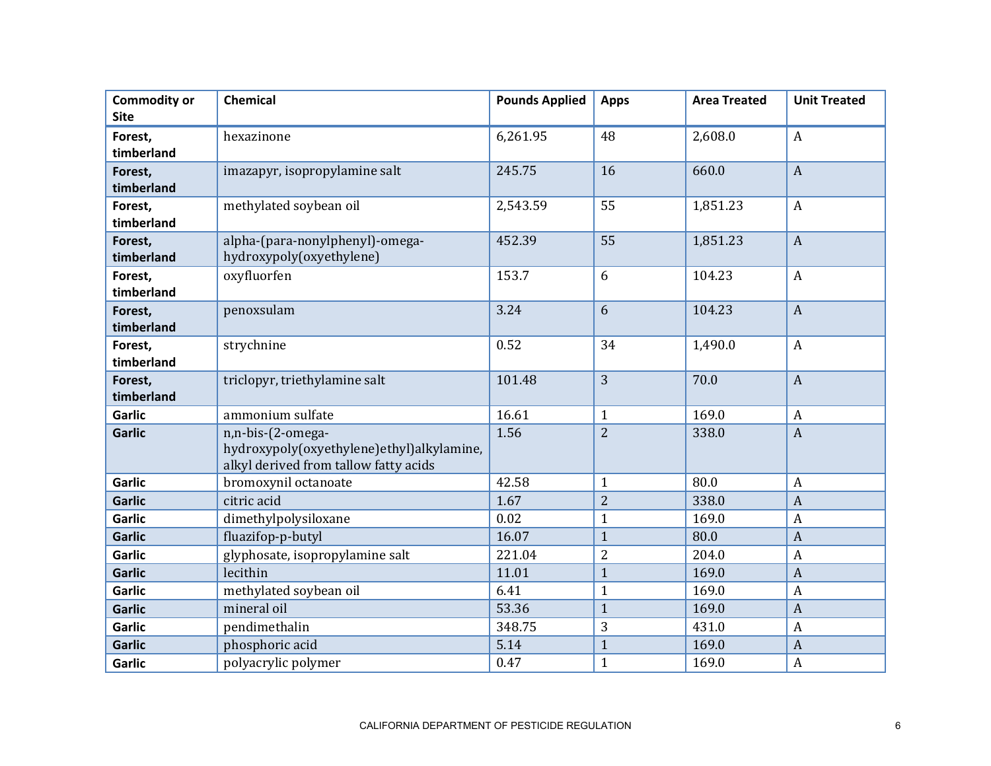| <b>Commodity or</b><br><b>Site</b> | Chemical                                                                                                | <b>Pounds Applied</b> | <b>Apps</b>    | <b>Area Treated</b> | <b>Unit Treated</b> |
|------------------------------------|---------------------------------------------------------------------------------------------------------|-----------------------|----------------|---------------------|---------------------|
| Forest,<br>timberland              | hexazinone                                                                                              | 6,261.95              | 48             | 2,608.0             | $\boldsymbol{A}$    |
| Forest,<br>timberland              | imazapyr, isopropylamine salt                                                                           | 245.75                | 16             | 660.0               | $\boldsymbol{A}$    |
| Forest,<br>timberland              | methylated soybean oil                                                                                  | 2,543.59              | 55             | 1,851.23            | $\boldsymbol{A}$    |
| Forest,<br>timberland              | alpha-(para-nonylphenyl)-omega-<br>hydroxypoly(oxyethylene)                                             | 452.39                | 55             | 1,851.23            | $\boldsymbol{A}$    |
| Forest,<br>timberland              | oxyfluorfen                                                                                             | 153.7                 | 6              | 104.23              | $\boldsymbol{A}$    |
| Forest,<br>timberland              | penoxsulam                                                                                              | 3.24                  | 6              | 104.23              | $\mathbf{A}$        |
| Forest,<br>timberland              | strychnine                                                                                              | 0.52                  | 34             | 1,490.0             | $\boldsymbol{A}$    |
| Forest,<br>timberland              | triclopyr, triethylamine salt                                                                           | 101.48                | $\overline{3}$ | 70.0                | $\overline{A}$      |
| <b>Garlic</b>                      | ammonium sulfate                                                                                        | 16.61                 | $\mathbf{1}$   | 169.0               | $\boldsymbol{A}$    |
| <b>Garlic</b>                      | n,n-bis-(2-omega-<br>hydroxypoly(oxyethylene)ethyl)alkylamine,<br>alkyl derived from tallow fatty acids | 1.56                  | $\overline{2}$ | 338.0               | $\boldsymbol{A}$    |
| <b>Garlic</b>                      | bromoxynil octanoate                                                                                    | 42.58                 | $\mathbf{1}$   | 80.0                | $\boldsymbol{A}$    |
| <b>Garlic</b>                      | citric acid                                                                                             | 1.67                  | $\overline{2}$ | 338.0               | $\boldsymbol{A}$    |
| <b>Garlic</b>                      | dimethylpolysiloxane                                                                                    | 0.02                  | $\mathbf{1}$   | 169.0               | $\boldsymbol{A}$    |
| <b>Garlic</b>                      | fluazifop-p-butyl                                                                                       | 16.07                 | $\mathbf{1}$   | 80.0                | $\boldsymbol{A}$    |
| <b>Garlic</b>                      | glyphosate, isopropylamine salt                                                                         | 221.04                | 2              | 204.0               | $\boldsymbol{A}$    |
| <b>Garlic</b>                      | lecithin                                                                                                | 11.01                 | $\mathbf{1}$   | 169.0               | $\boldsymbol{A}$    |
| <b>Garlic</b>                      | methylated soybean oil                                                                                  | 6.41                  | $\mathbf{1}$   | 169.0               | $\boldsymbol{A}$    |
| <b>Garlic</b>                      | mineral oil                                                                                             | 53.36                 | $\mathbf{1}$   | 169.0               | $\boldsymbol{A}$    |
| <b>Garlic</b>                      | pendimethalin                                                                                           | 348.75                | 3              | 431.0               | $\boldsymbol{A}$    |
| <b>Garlic</b>                      | phosphoric acid                                                                                         | 5.14                  | $\mathbf{1}$   | 169.0               | $\boldsymbol{A}$    |
| <b>Garlic</b>                      | polyacrylic polymer                                                                                     | 0.47                  | $\mathbf{1}$   | 169.0               | $\boldsymbol{A}$    |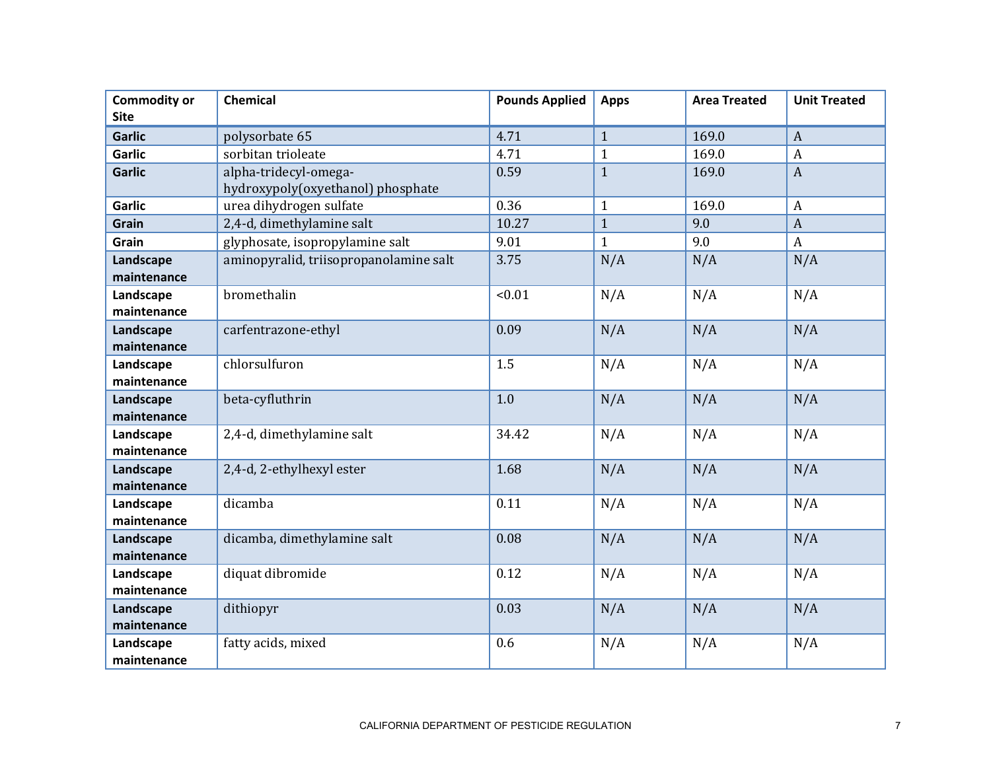| <b>Commodity or</b> | Chemical                               | <b>Pounds Applied</b> | <b>Apps</b>  | <b>Area Treated</b> | <b>Unit Treated</b> |
|---------------------|----------------------------------------|-----------------------|--------------|---------------------|---------------------|
| <b>Site</b>         |                                        |                       |              |                     |                     |
| <b>Garlic</b>       | polysorbate 65                         | 4.71                  | $\mathbf{1}$ | 169.0               | $\boldsymbol{A}$    |
| <b>Garlic</b>       | sorbitan trioleate                     | 4.71                  | $\mathbf{1}$ | 169.0               | $\boldsymbol{A}$    |
| <b>Garlic</b>       | alpha-tridecyl-omega-                  | 0.59                  | $\mathbf{1}$ | 169.0               | $\overline{A}$      |
|                     | hydroxypoly(oxyethanol) phosphate      |                       |              |                     |                     |
| <b>Garlic</b>       | urea dihydrogen sulfate                | 0.36                  | $\mathbf{1}$ | 169.0               | $\overline{A}$      |
| Grain               | 2,4-d, dimethylamine salt              | 10.27                 | $\mathbf{1}$ | 9.0                 | $\boldsymbol{A}$    |
| Grain               | glyphosate, isopropylamine salt        | 9.01                  | $\mathbf{1}$ | 9.0                 | $\boldsymbol{A}$    |
| Landscape           | aminopyralid, triisopropanolamine salt | 3.75                  | N/A          | N/A                 | N/A                 |
| maintenance         |                                        |                       |              |                     |                     |
| Landscape           | bromethalin                            | < 0.01                | N/A          | N/A                 | N/A                 |
| maintenance         |                                        |                       |              |                     |                     |
| Landscape           | carfentrazone-ethyl                    | 0.09                  | N/A          | N/A                 | N/A                 |
| maintenance         |                                        |                       |              |                     |                     |
| Landscape           | chlorsulfuron                          | 1.5                   | N/A          | N/A                 | N/A                 |
| maintenance         |                                        |                       |              |                     |                     |
| Landscape           | beta-cyfluthrin                        | 1.0                   | N/A          | N/A                 | N/A                 |
| maintenance         |                                        |                       |              |                     |                     |
| Landscape           | 2,4-d, dimethylamine salt              | 34.42                 | N/A          | N/A                 | N/A                 |
| maintenance         |                                        |                       |              |                     |                     |
| Landscape           | 2,4-d, 2-ethylhexyl ester              | 1.68                  | N/A          | N/A                 | N/A                 |
| maintenance         |                                        |                       |              |                     |                     |
| Landscape           | dicamba                                | 0.11                  | N/A          | N/A                 | N/A                 |
| maintenance         |                                        |                       |              |                     |                     |
| Landscape           | dicamba, dimethylamine salt            | 0.08                  | N/A          | N/A                 | N/A                 |
| maintenance         |                                        |                       |              |                     |                     |
| Landscape           | diquat dibromide                       | 0.12                  | N/A          | N/A                 | N/A                 |
| maintenance         |                                        |                       |              |                     |                     |
| Landscape           | dithiopyr                              | 0.03                  | N/A          | N/A                 | N/A                 |
| maintenance         |                                        |                       |              |                     |                     |
| Landscape           | fatty acids, mixed                     | 0.6                   | N/A          | N/A                 | N/A                 |
| maintenance         |                                        |                       |              |                     |                     |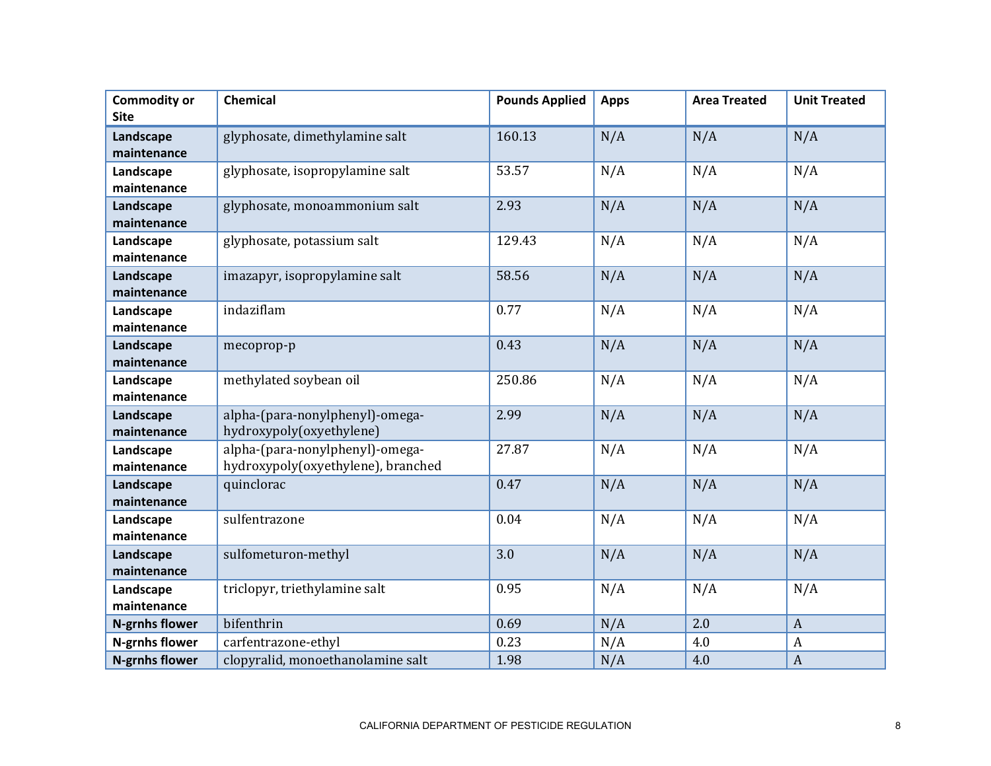| <b>Commodity or</b><br><b>Site</b> | Chemical                                                              | <b>Pounds Applied</b> | <b>Apps</b> | <b>Area Treated</b> | <b>Unit Treated</b> |
|------------------------------------|-----------------------------------------------------------------------|-----------------------|-------------|---------------------|---------------------|
| Landscape<br>maintenance           | glyphosate, dimethylamine salt                                        | 160.13                | N/A         | N/A                 | N/A                 |
| Landscape<br>maintenance           | glyphosate, isopropylamine salt                                       | 53.57                 | N/A         | N/A                 | N/A                 |
| Landscape<br>maintenance           | glyphosate, monoammonium salt                                         | 2.93                  | N/A         | N/A                 | N/A                 |
| Landscape<br>maintenance           | glyphosate, potassium salt                                            | 129.43                | N/A         | N/A                 | N/A                 |
| Landscape<br>maintenance           | imazapyr, isopropylamine salt                                         | 58.56                 | N/A         | N/A                 | N/A                 |
| Landscape<br>maintenance           | indaziflam                                                            | 0.77                  | N/A         | N/A                 | N/A                 |
| Landscape<br>maintenance           | mecoprop-p                                                            | 0.43                  | N/A         | N/A                 | N/A                 |
| Landscape<br>maintenance           | methylated soybean oil                                                | 250.86                | N/A         | N/A                 | N/A                 |
| Landscape<br>maintenance           | alpha-(para-nonylphenyl)-omega-<br>hydroxypoly(oxyethylene)           | 2.99                  | N/A         | N/A                 | N/A                 |
| Landscape<br>maintenance           | alpha-(para-nonylphenyl)-omega-<br>hydroxypoly(oxyethylene), branched | 27.87                 | N/A         | N/A                 | N/A                 |
| Landscape<br>maintenance           | quinclorac                                                            | 0.47                  | N/A         | N/A                 | N/A                 |
| Landscape<br>maintenance           | sulfentrazone                                                         | 0.04                  | N/A         | N/A                 | N/A                 |
| Landscape<br>maintenance           | sulfometuron-methyl                                                   | 3.0                   | N/A         | N/A                 | N/A                 |
| Landscape<br>maintenance           | triclopyr, triethylamine salt                                         | 0.95                  | N/A         | N/A                 | N/A                 |
| <b>N-grnhs flower</b>              | bifenthrin                                                            | 0.69                  | N/A         | 2.0                 | $\overline{A}$      |
| <b>N-grnhs flower</b>              | carfentrazone-ethyl                                                   | 0.23                  | N/A         | 4.0                 | $\boldsymbol{A}$    |
| <b>N-grnhs flower</b>              | clopyralid, monoethanolamine salt                                     | 1.98                  | N/A         | 4.0                 | $\overline{A}$      |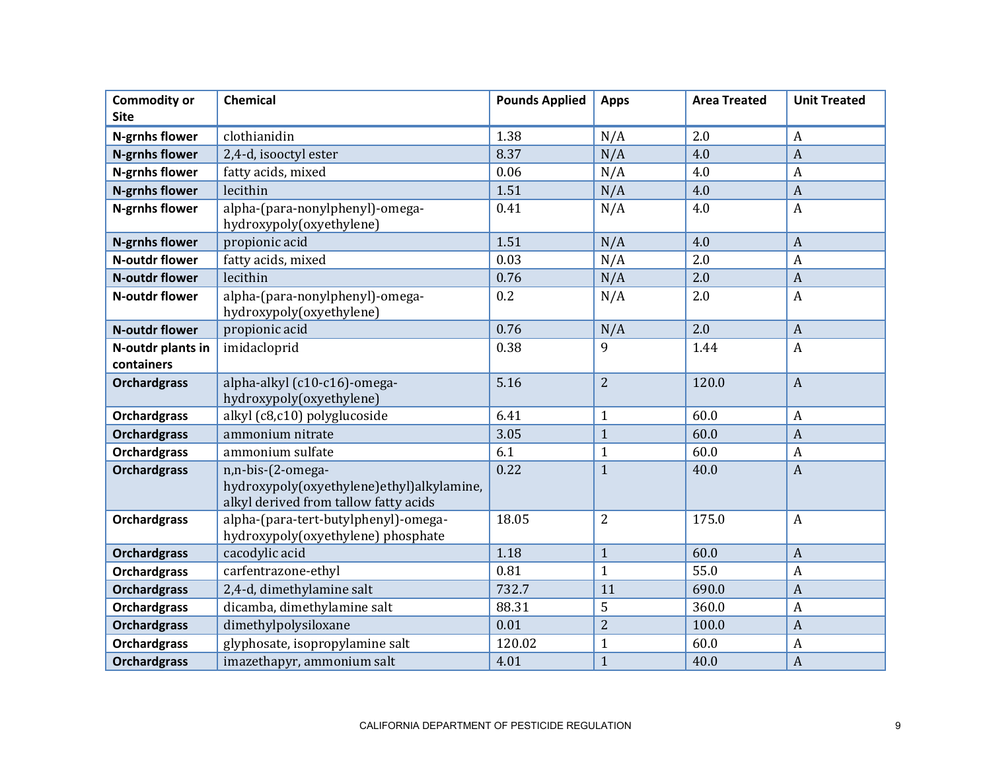| <b>Commodity or</b><br><b>Site</b> | Chemical                                                                                                | <b>Pounds Applied</b> | <b>Apps</b>    | <b>Area Treated</b> | <b>Unit Treated</b> |
|------------------------------------|---------------------------------------------------------------------------------------------------------|-----------------------|----------------|---------------------|---------------------|
| N-grnhs flower                     | clothianidin                                                                                            | 1.38                  | N/A            | 2.0                 | $\boldsymbol{A}$    |
| <b>N-grnhs flower</b>              | 2,4-d, isooctyl ester                                                                                   | 8.37                  | N/A            | 4.0                 | $\overline{A}$      |
| N-grnhs flower                     | fatty acids, mixed                                                                                      | 0.06                  | N/A            | 4.0                 | $\boldsymbol{A}$    |
| <b>N-grnhs flower</b>              | lecithin                                                                                                | 1.51                  | N/A            | 4.0                 | $\overline{A}$      |
| N-grnhs flower                     | alpha-(para-nonylphenyl)-omega-<br>hydroxypoly(oxyethylene)                                             | 0.41                  | N/A            | 4.0                 | $\overline{A}$      |
| <b>N-grnhs flower</b>              | propionic acid                                                                                          | 1.51                  | N/A            | 4.0                 | $\overline{A}$      |
| <b>N-outdr flower</b>              | fatty acids, mixed                                                                                      | 0.03                  | N/A            | 2.0                 | $\overline{A}$      |
| <b>N-outdr flower</b>              | lecithin                                                                                                | 0.76                  | N/A            | 2.0                 | $\overline{A}$      |
| N-outdr flower                     | alpha-(para-nonylphenyl)-omega-<br>hydroxypoly(oxyethylene)                                             | 0.2                   | N/A            | 2.0                 | $\boldsymbol{A}$    |
| <b>N-outdr flower</b>              | propionic acid                                                                                          | 0.76                  | N/A            | 2.0                 | $\overline{A}$      |
| N-outdr plants in<br>containers    | imidacloprid                                                                                            | 0.38                  | 9              | 1.44                | $\overline{A}$      |
| <b>Orchardgrass</b>                | alpha-alkyl (c10-c16)-omega-<br>hydroxypoly(oxyethylene)                                                | 5.16                  | $\overline{2}$ | 120.0               | $\boldsymbol{A}$    |
| <b>Orchardgrass</b>                | alkyl (c8,c10) polyglucoside                                                                            | 6.41                  | $\mathbf{1}$   | 60.0                | $\boldsymbol{A}$    |
| <b>Orchardgrass</b>                | ammonium nitrate                                                                                        | 3.05                  | $\mathbf{1}$   | 60.0                | $\overline{A}$      |
| <b>Orchardgrass</b>                | ammonium sulfate                                                                                        | 6.1                   | $\mathbf{1}$   | 60.0                | $\boldsymbol{A}$    |
| <b>Orchardgrass</b>                | n,n-bis-(2-omega-<br>hydroxypoly(oxyethylene)ethyl)alkylamine,<br>alkyl derived from tallow fatty acids | 0.22                  | $\mathbf{1}$   | 40.0                | $\overline{A}$      |
| <b>Orchardgrass</b>                | alpha-(para-tert-butylphenyl)-omega-<br>hydroxypoly(oxyethylene) phosphate                              | 18.05                 | 2              | 175.0               | $\boldsymbol{A}$    |
| <b>Orchardgrass</b>                | cacodylic acid                                                                                          | 1.18                  | $\mathbf{1}$   | 60.0                | $\overline{A}$      |
| <b>Orchardgrass</b>                | carfentrazone-ethyl                                                                                     | 0.81                  | $\mathbf{1}$   | 55.0                | $\boldsymbol{A}$    |
| <b>Orchardgrass</b>                | 2,4-d, dimethylamine salt                                                                               | 732.7                 | 11             | 690.0               | $\overline{A}$      |
| <b>Orchardgrass</b>                | dicamba, dimethylamine salt                                                                             | 88.31                 | 5              | 360.0               | $\boldsymbol{A}$    |
| <b>Orchardgrass</b>                | dimethylpolysiloxane                                                                                    | 0.01                  | $\overline{2}$ | 100.0               | $\overline{A}$      |
| <b>Orchardgrass</b>                | glyphosate, isopropylamine salt                                                                         | 120.02                | $\mathbf{1}$   | 60.0                | $\boldsymbol{A}$    |
| <b>Orchardgrass</b>                | imazethapyr, ammonium salt                                                                              | 4.01                  | $\mathbf{1}$   | 40.0                | $\overline{A}$      |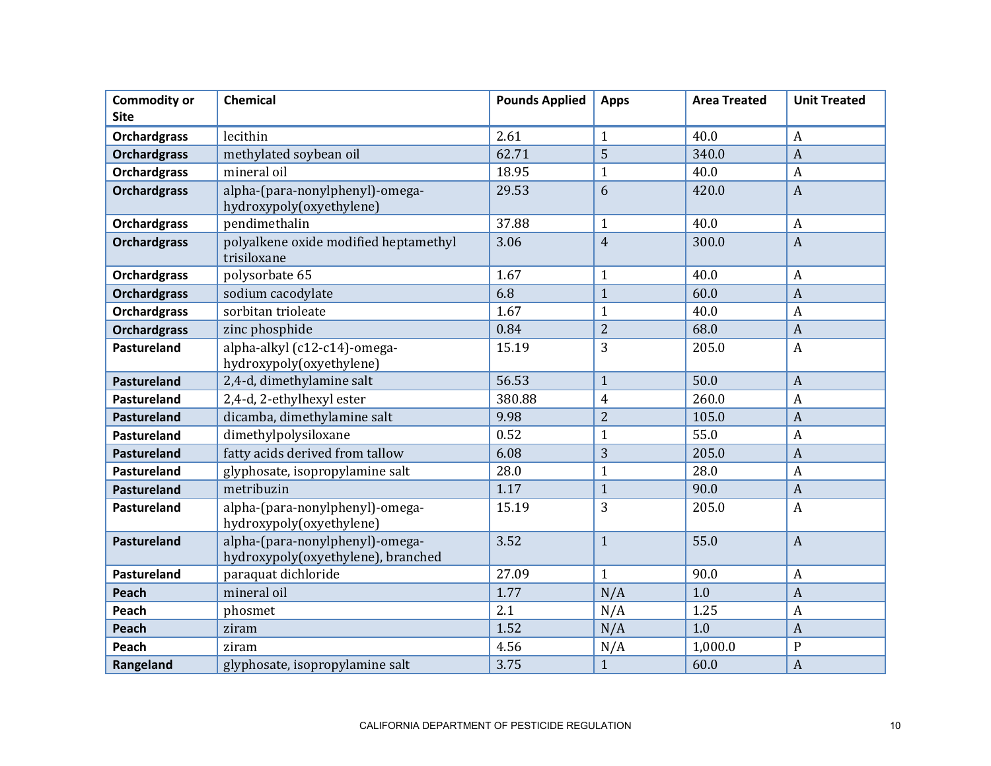| <b>Commodity or</b><br><b>Site</b> | <b>Chemical</b>                                                       | <b>Pounds Applied</b> | <b>Apps</b>    | <b>Area Treated</b> | <b>Unit Treated</b> |
|------------------------------------|-----------------------------------------------------------------------|-----------------------|----------------|---------------------|---------------------|
| <b>Orchardgrass</b>                | lecithin                                                              | 2.61                  | $\mathbf{1}$   | 40.0                | $\overline{A}$      |
| <b>Orchardgrass</b>                | methylated soybean oil                                                | 62.71                 | 5              | 340.0               | $\mathbf{A}$        |
| <b>Orchardgrass</b>                | mineral oil                                                           | 18.95                 | $\overline{1}$ | 40.0                | $\boldsymbol{A}$    |
| <b>Orchardgrass</b>                | alpha-(para-nonylphenyl)-omega-<br>hydroxypoly(oxyethylene)           | 29.53                 | 6              | 420.0               | $\overline{A}$      |
| <b>Orchardgrass</b>                | pendimethalin                                                         | 37.88                 | $\mathbf{1}$   | 40.0                | $\boldsymbol{A}$    |
| <b>Orchardgrass</b>                | polyalkene oxide modified heptamethyl<br>trisiloxane                  | 3.06                  | $\overline{4}$ | 300.0               | $\overline{A}$      |
| <b>Orchardgrass</b>                | polysorbate 65                                                        | 1.67                  | $\mathbf{1}$   | 40.0                | $\overline{A}$      |
| <b>Orchardgrass</b>                | sodium cacodylate                                                     | 6.8                   | $\mathbf{1}$   | 60.0                | $\overline{A}$      |
| <b>Orchardgrass</b>                | sorbitan trioleate                                                    | 1.67                  | $\mathbf{1}$   | 40.0                | $\boldsymbol{A}$    |
| <b>Orchardgrass</b>                | zinc phosphide                                                        | 0.84                  | $\overline{2}$ | 68.0                | $\overline{A}$      |
| <b>Pastureland</b>                 | alpha-alkyl (c12-c14)-omega-<br>hydroxypoly(oxyethylene)              | 15.19                 | 3              | 205.0               | $\overline{A}$      |
| <b>Pastureland</b>                 | 2,4-d, dimethylamine salt                                             | 56.53                 | $\mathbf{1}$   | 50.0                | $\overline{A}$      |
| Pastureland                        | 2,4-d, 2-ethylhexyl ester                                             | 380.88                | $\overline{4}$ | 260.0               | $\boldsymbol{A}$    |
| <b>Pastureland</b>                 | dicamba, dimethylamine salt                                           | 9.98                  | $\overline{2}$ | 105.0               | $\overline{A}$      |
| <b>Pastureland</b>                 | dimethylpolysiloxane                                                  | 0.52                  | $\mathbf{1}$   | 55.0                | $\boldsymbol{A}$    |
| <b>Pastureland</b>                 | fatty acids derived from tallow                                       | 6.08                  | 3              | 205.0               | $\overline{A}$      |
| Pastureland                        | glyphosate, isopropylamine salt                                       | 28.0                  | $\mathbf{1}$   | 28.0                | $\boldsymbol{A}$    |
| Pastureland                        | metribuzin                                                            | 1.17                  | $\mathbf{1}$   | 90.0                | $\mathbf{A}$        |
| <b>Pastureland</b>                 | alpha-(para-nonylphenyl)-omega-<br>hydroxypoly(oxyethylene)           | 15.19                 | 3              | 205.0               | $\overline{A}$      |
| <b>Pastureland</b>                 | alpha-(para-nonylphenyl)-omega-<br>hydroxypoly(oxyethylene), branched | 3.52                  | $\mathbf{1}$   | 55.0                | $\overline{A}$      |
| <b>Pastureland</b>                 | paraquat dichloride                                                   | 27.09                 | $\mathbf{1}$   | 90.0                | $\overline{A}$      |
| Peach                              | mineral oil                                                           | 1.77                  | N/A            | 1.0                 | $\mathbf{A}$        |
| Peach                              | phosmet                                                               | 2.1                   | N/A            | 1.25                | $\boldsymbol{A}$    |
| Peach                              | ziram                                                                 | 1.52                  | N/A            | 1.0                 | $\overline{A}$      |
| Peach                              | ziram                                                                 | 4.56                  | N/A            | 1,000.0             | $\mathbf{P}$        |
| Rangeland                          | glyphosate, isopropylamine salt                                       | 3.75                  | $\mathbf{1}$   | 60.0                | $\overline{A}$      |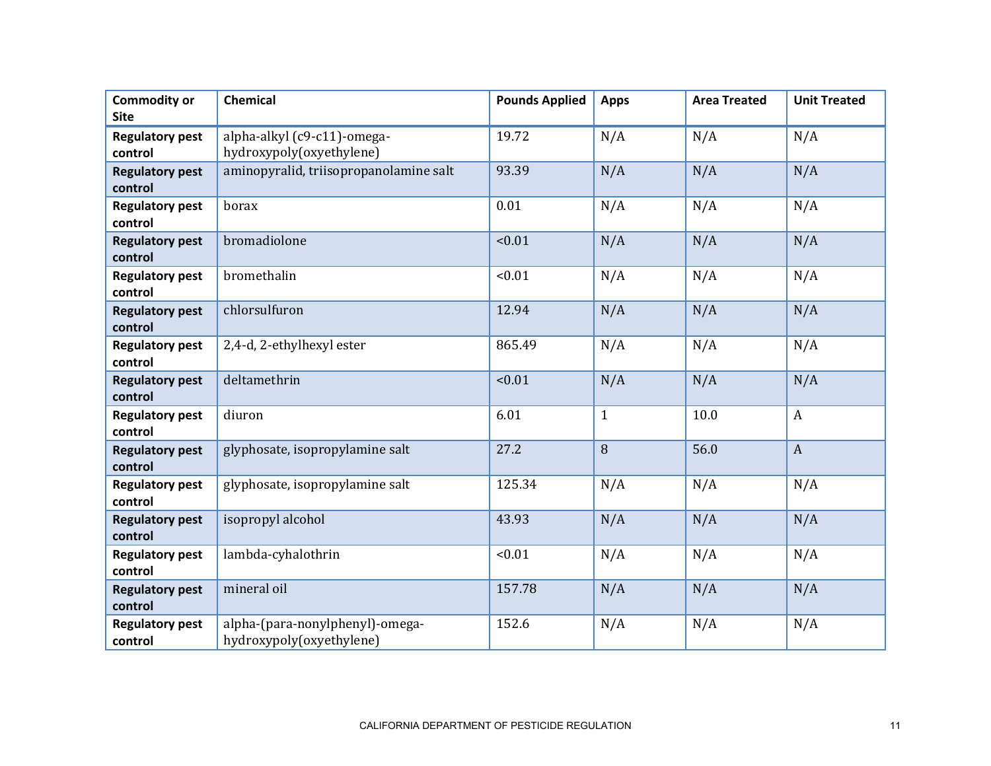| <b>Commodity or</b><br><b>Site</b> | <b>Chemical</b>                                             | <b>Pounds Applied</b> | <b>Apps</b>  | <b>Area Treated</b> | <b>Unit Treated</b> |
|------------------------------------|-------------------------------------------------------------|-----------------------|--------------|---------------------|---------------------|
| <b>Regulatory pest</b><br>control  | alpha-alkyl (c9-c11)-omega-<br>hydroxypoly(oxyethylene)     | 19.72                 | N/A          | N/A                 | N/A                 |
| <b>Regulatory pest</b><br>control  | aminopyralid, triisopropanolamine salt                      | 93.39                 | N/A          | N/A                 | N/A                 |
| <b>Regulatory pest</b><br>control  | borax                                                       | 0.01                  | N/A          | N/A                 | N/A                 |
| <b>Regulatory pest</b><br>control  | bromadiolone                                                | < 0.01                | N/A          | N/A                 | N/A                 |
| <b>Regulatory pest</b><br>control  | bromethalin                                                 | < 0.01                | N/A          | N/A                 | N/A                 |
| <b>Regulatory pest</b><br>control  | chlorsulfuron                                               | 12.94                 | N/A          | N/A                 | N/A                 |
| <b>Regulatory pest</b><br>control  | 2,4-d, 2-ethylhexyl ester                                   | 865.49                | N/A          | N/A                 | N/A                 |
| <b>Regulatory pest</b><br>control  | deltamethrin                                                | < 0.01                | N/A          | N/A                 | N/A                 |
| <b>Regulatory pest</b><br>control  | diuron                                                      | 6.01                  | $\mathbf{1}$ | 10.0                | $\boldsymbol{A}$    |
| <b>Regulatory pest</b><br>control  | glyphosate, isopropylamine salt                             | 27.2                  | 8            | 56.0                | $\boldsymbol{A}$    |
| <b>Regulatory pest</b><br>control  | glyphosate, isopropylamine salt                             | 125.34                | N/A          | N/A                 | N/A                 |
| <b>Regulatory pest</b><br>control  | isopropyl alcohol                                           | 43.93                 | N/A          | N/A                 | N/A                 |
| <b>Regulatory pest</b><br>control  | lambda-cyhalothrin                                          | < 0.01                | N/A          | N/A                 | N/A                 |
| <b>Regulatory pest</b><br>control  | mineral oil                                                 | 157.78                | N/A          | N/A                 | N/A                 |
| <b>Regulatory pest</b><br>control  | alpha-(para-nonylphenyl)-omega-<br>hydroxypoly(oxyethylene) | 152.6                 | N/A          | N/A                 | N/A                 |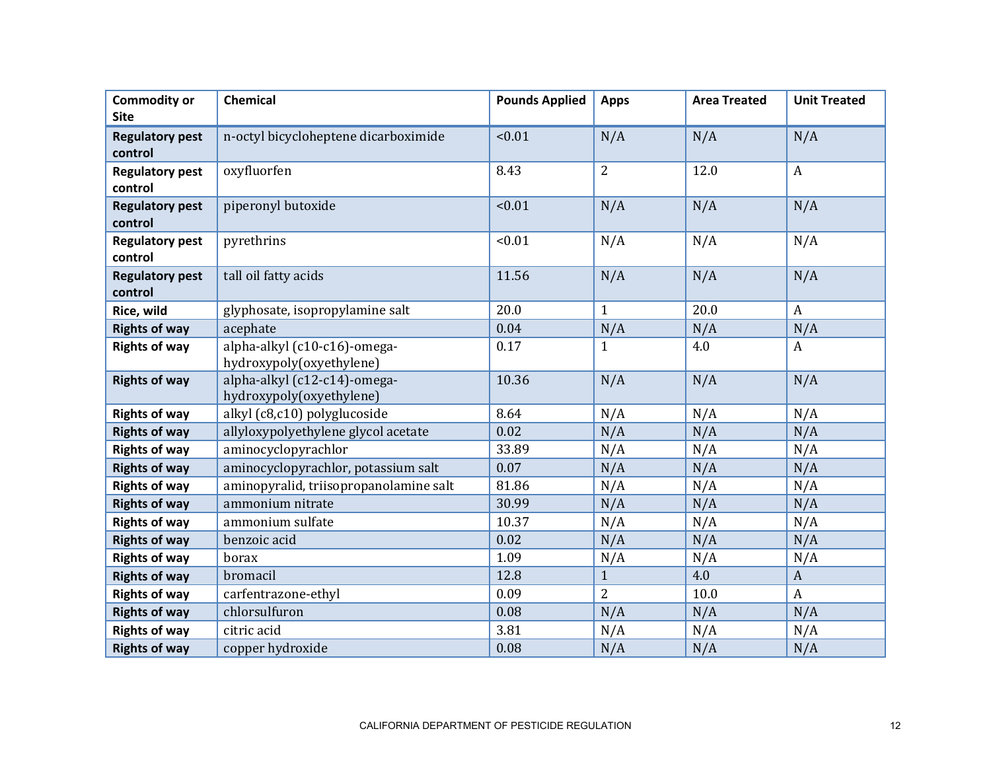| <b>Commodity or</b>    | Chemical                                                 | <b>Pounds Applied</b> | <b>Apps</b>    | <b>Area Treated</b> | <b>Unit Treated</b> |
|------------------------|----------------------------------------------------------|-----------------------|----------------|---------------------|---------------------|
| <b>Site</b>            |                                                          |                       |                |                     |                     |
| <b>Regulatory pest</b> | n-octyl bicycloheptene dicarboximide                     | < 0.01                | N/A            | N/A                 | N/A                 |
| control                |                                                          |                       |                |                     |                     |
| <b>Regulatory pest</b> | oxyfluorfen                                              | 8.43                  | $\overline{2}$ | 12.0                | $\boldsymbol{A}$    |
| control                |                                                          |                       |                |                     |                     |
| <b>Regulatory pest</b> | piperonyl butoxide                                       | < 0.01                | N/A            | N/A                 | N/A                 |
| control                |                                                          |                       |                |                     |                     |
| <b>Regulatory pest</b> | pyrethrins                                               | < 0.01                | N/A            | N/A                 | N/A                 |
| control                |                                                          |                       |                |                     |                     |
| <b>Regulatory pest</b> | tall oil fatty acids                                     | 11.56                 | N/A            | N/A                 | N/A                 |
| control                |                                                          |                       |                |                     |                     |
| Rice, wild             | glyphosate, isopropylamine salt                          | 20.0                  | $\mathbf{1}$   | 20.0                | $\boldsymbol{A}$    |
| <b>Rights of way</b>   | acephate                                                 | 0.04                  | N/A            | N/A                 | N/A                 |
| <b>Rights of way</b>   | alpha-alkyl (c10-c16)-omega-                             | 0.17                  | $\mathbf{1}$   | 4.0                 | A                   |
|                        | hydroxypoly(oxyethylene)                                 |                       |                |                     |                     |
| <b>Rights of way</b>   | alpha-alkyl (c12-c14)-omega-<br>hydroxypoly(oxyethylene) | 10.36                 | N/A            | N/A                 | N/A                 |
| <b>Rights of way</b>   | alkyl (c8,c10) polyglucoside                             | 8.64                  | N/A            | N/A                 | N/A                 |
| <b>Rights of way</b>   | allyloxypolyethylene glycol acetate                      | 0.02                  | N/A            | N/A                 | N/A                 |
| <b>Rights of way</b>   | aminocyclopyrachlor                                      | 33.89                 | N/A            | N/A                 | N/A                 |
|                        | aminocyclopyrachlor, potassium salt                      | 0.07                  |                |                     | N/A                 |
| <b>Rights of way</b>   |                                                          | 81.86                 | N/A            | N/A                 |                     |
| <b>Rights of way</b>   | aminopyralid, triisopropanolamine salt                   |                       | N/A            | N/A                 | N/A                 |
| <b>Rights of way</b>   | ammonium nitrate                                         | 30.99                 | N/A            | N/A                 | N/A                 |
| <b>Rights of way</b>   | ammonium sulfate                                         | 10.37                 | N/A            | N/A                 | N/A                 |
| <b>Rights of way</b>   | benzoic acid                                             | 0.02                  | N/A            | N/A                 | N/A                 |
| <b>Rights of way</b>   | borax                                                    | 1.09                  | N/A            | N/A                 | N/A                 |
| <b>Rights of way</b>   | bromacil                                                 | 12.8                  | $\mathbf{1}$   | 4.0                 | $\boldsymbol{A}$    |
| <b>Rights of way</b>   | carfentrazone-ethyl                                      | 0.09                  | $\overline{2}$ | 10.0                | $\boldsymbol{A}$    |
| <b>Rights of way</b>   | chlorsulfuron                                            | 0.08                  | N/A            | N/A                 | N/A                 |
| <b>Rights of way</b>   | citric acid                                              | 3.81                  | N/A            | N/A                 | N/A                 |
| <b>Rights of way</b>   | copper hydroxide                                         | 0.08                  | N/A            | N/A                 | N/A                 |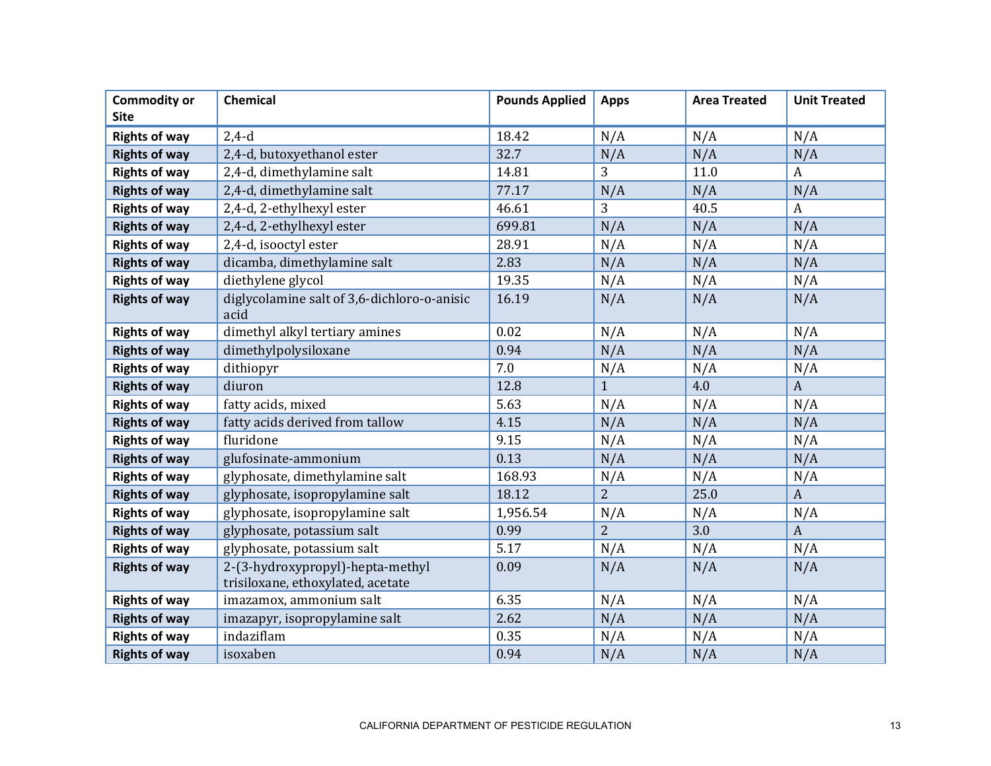| <b>Commodity or</b>  | <b>Chemical</b>                                                       | <b>Pounds Applied</b> | <b>Apps</b>    | <b>Area Treated</b> | <b>Unit Treated</b> |
|----------------------|-----------------------------------------------------------------------|-----------------------|----------------|---------------------|---------------------|
| <b>Site</b>          |                                                                       |                       |                |                     |                     |
| <b>Rights of way</b> | $2,4-d$                                                               | 18.42                 | N/A            | N/A                 | N/A                 |
| <b>Rights of way</b> | 2,4-d, butoxyethanol ester                                            | 32.7                  | N/A            | N/A                 | N/A                 |
| <b>Rights of way</b> | 2,4-d, dimethylamine salt                                             | 14.81                 | 3              | 11.0                | $\boldsymbol{A}$    |
| <b>Rights of way</b> | 2,4-d, dimethylamine salt                                             | 77.17                 | N/A            | N/A                 | N/A                 |
| <b>Rights of way</b> | 2,4-d, 2-ethylhexyl ester                                             | 46.61                 | 3              | 40.5                | $\boldsymbol{A}$    |
| <b>Rights of way</b> | 2,4-d, 2-ethylhexyl ester                                             | 699.81                | N/A            | N/A                 | N/A                 |
| <b>Rights of way</b> | 2,4-d, isooctyl ester                                                 | 28.91                 | N/A            | N/A                 | N/A                 |
| <b>Rights of way</b> | dicamba, dimethylamine salt                                           | 2.83                  | N/A            | N/A                 | N/A                 |
| <b>Rights of way</b> | diethylene glycol                                                     | 19.35                 | N/A            | N/A                 | N/A                 |
| <b>Rights of way</b> | diglycolamine salt of 3,6-dichloro-o-anisic<br>acid                   | 16.19                 | N/A            | N/A                 | N/A                 |
| <b>Rights of way</b> | dimethyl alkyl tertiary amines                                        | 0.02                  | N/A            | N/A                 | N/A                 |
| <b>Rights of way</b> | dimethylpolysiloxane                                                  | 0.94                  | N/A            | N/A                 | N/A                 |
| <b>Rights of way</b> | dithiopyr                                                             | 7.0                   | N/A            | N/A                 | N/A                 |
| <b>Rights of way</b> | diuron                                                                | 12.8                  | $\mathbf{1}$   | 4.0                 | $\boldsymbol{A}$    |
| <b>Rights of way</b> | fatty acids, mixed                                                    | 5.63                  | N/A            | N/A                 | N/A                 |
| <b>Rights of way</b> | fatty acids derived from tallow                                       | 4.15                  | N/A            | N/A                 | N/A                 |
| <b>Rights of way</b> | fluridone                                                             | 9.15                  | N/A            | N/A                 | N/A                 |
| <b>Rights of way</b> | glufosinate-ammonium                                                  | 0.13                  | N/A            | N/A                 | N/A                 |
| <b>Rights of way</b> | glyphosate, dimethylamine salt                                        | 168.93                | N/A            | N/A                 | N/A                 |
| <b>Rights of way</b> | glyphosate, isopropylamine salt                                       | 18.12                 | $\overline{2}$ | 25.0                | $\boldsymbol{A}$    |
| <b>Rights of way</b> | glyphosate, isopropylamine salt                                       | 1,956.54              | N/A            | N/A                 | N/A                 |
| <b>Rights of way</b> | glyphosate, potassium salt                                            | 0.99                  | $\overline{2}$ | 3.0                 | $\boldsymbol{A}$    |
| <b>Rights of way</b> | glyphosate, potassium salt                                            | 5.17                  | N/A            | N/A                 | N/A                 |
| <b>Rights of way</b> | 2-(3-hydroxypropyl)-hepta-methyl<br>trisiloxane, ethoxylated, acetate | 0.09                  | N/A            | N/A                 | N/A                 |
| <b>Rights of way</b> | imazamox, ammonium salt                                               | 6.35                  | N/A            | N/A                 | N/A                 |
| <b>Rights of way</b> | imazapyr, isopropylamine salt                                         | 2.62                  | N/A            | N/A                 | N/A                 |
| <b>Rights of way</b> | indaziflam                                                            | 0.35                  | N/A            | N/A                 | N/A                 |
| <b>Rights of way</b> | isoxaben                                                              | 0.94                  | N/A            | N/A                 | N/A                 |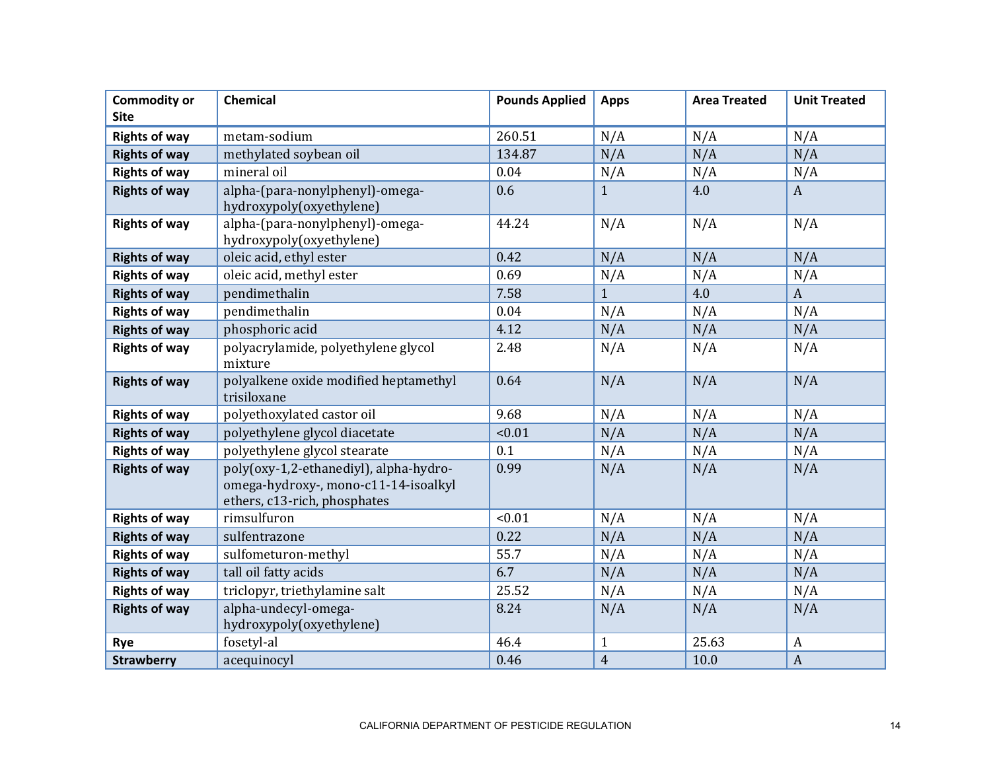| <b>Commodity or</b>  | Chemical                                                                                                       | <b>Pounds Applied</b> | <b>Apps</b>    | <b>Area Treated</b> | <b>Unit Treated</b> |
|----------------------|----------------------------------------------------------------------------------------------------------------|-----------------------|----------------|---------------------|---------------------|
| <b>Site</b>          |                                                                                                                |                       |                |                     |                     |
| <b>Rights of way</b> | metam-sodium                                                                                                   | 260.51                | N/A            | N/A                 | N/A                 |
| <b>Rights of way</b> | methylated soybean oil                                                                                         | 134.87                | N/A            | N/A                 | N/A                 |
| <b>Rights of way</b> | mineral oil                                                                                                    | 0.04                  | N/A            | N/A                 | N/A                 |
| <b>Rights of way</b> | alpha-(para-nonylphenyl)-omega-<br>hydroxypoly(oxyethylene)                                                    | 0.6                   | $\mathbf{1}$   | 4.0                 | $\boldsymbol{A}$    |
| <b>Rights of way</b> | alpha-(para-nonylphenyl)-omega-<br>hydroxypoly(oxyethylene)                                                    | 44.24                 | N/A            | N/A                 | N/A                 |
| <b>Rights of way</b> | oleic acid, ethyl ester                                                                                        | 0.42                  | N/A            | N/A                 | N/A                 |
| <b>Rights of way</b> | oleic acid, methyl ester                                                                                       | 0.69                  | N/A            | N/A                 | N/A                 |
| <b>Rights of way</b> | pendimethalin                                                                                                  | 7.58                  | $\mathbf{1}$   | 4.0                 | $\boldsymbol{A}$    |
| <b>Rights of way</b> | pendimethalin                                                                                                  | 0.04                  | N/A            | N/A                 | N/A                 |
| <b>Rights of way</b> | phosphoric acid                                                                                                | 4.12                  | N/A            | N/A                 | N/A                 |
| <b>Rights of way</b> | polyacrylamide, polyethylene glycol<br>mixture                                                                 | 2.48                  | N/A            | N/A                 | N/A                 |
| <b>Rights of way</b> | polyalkene oxide modified heptamethyl<br>trisiloxane                                                           | 0.64                  | N/A            | N/A                 | N/A                 |
| <b>Rights of way</b> | polyethoxylated castor oil                                                                                     | 9.68                  | N/A            | N/A                 | N/A                 |
| <b>Rights of way</b> | polyethylene glycol diacetate                                                                                  | < 0.01                | N/A            | N/A                 | N/A                 |
| <b>Rights of way</b> | polyethylene glycol stearate                                                                                   | 0.1                   | N/A            | N/A                 | N/A                 |
| <b>Rights of way</b> | poly(oxy-1,2-ethanediyl), alpha-hydro-<br>omega-hydroxy-, mono-c11-14-isoalkyl<br>ethers, c13-rich, phosphates | 0.99                  | N/A            | N/A                 | N/A                 |
| <b>Rights of way</b> | rimsulfuron                                                                                                    | < 0.01                | N/A            | N/A                 | N/A                 |
| <b>Rights of way</b> | sulfentrazone                                                                                                  | 0.22                  | N/A            | N/A                 | N/A                 |
| <b>Rights of way</b> | sulfometuron-methyl                                                                                            | 55.7                  | N/A            | N/A                 | N/A                 |
| <b>Rights of way</b> | tall oil fatty acids                                                                                           | 6.7                   | N/A            | N/A                 | N/A                 |
| <b>Rights of way</b> | triclopyr, triethylamine salt                                                                                  | 25.52                 | N/A            | N/A                 | N/A                 |
| <b>Rights of way</b> | alpha-undecyl-omega-<br>hydroxypoly(oxyethylene)                                                               | 8.24                  | N/A            | N/A                 | N/A                 |
| Rye                  | fosetyl-al                                                                                                     | 46.4                  | $\mathbf{1}$   | 25.63               | $\boldsymbol{A}$    |
| <b>Strawberry</b>    | acequinocyl                                                                                                    | 0.46                  | $\overline{4}$ | 10.0                | $\boldsymbol{A}$    |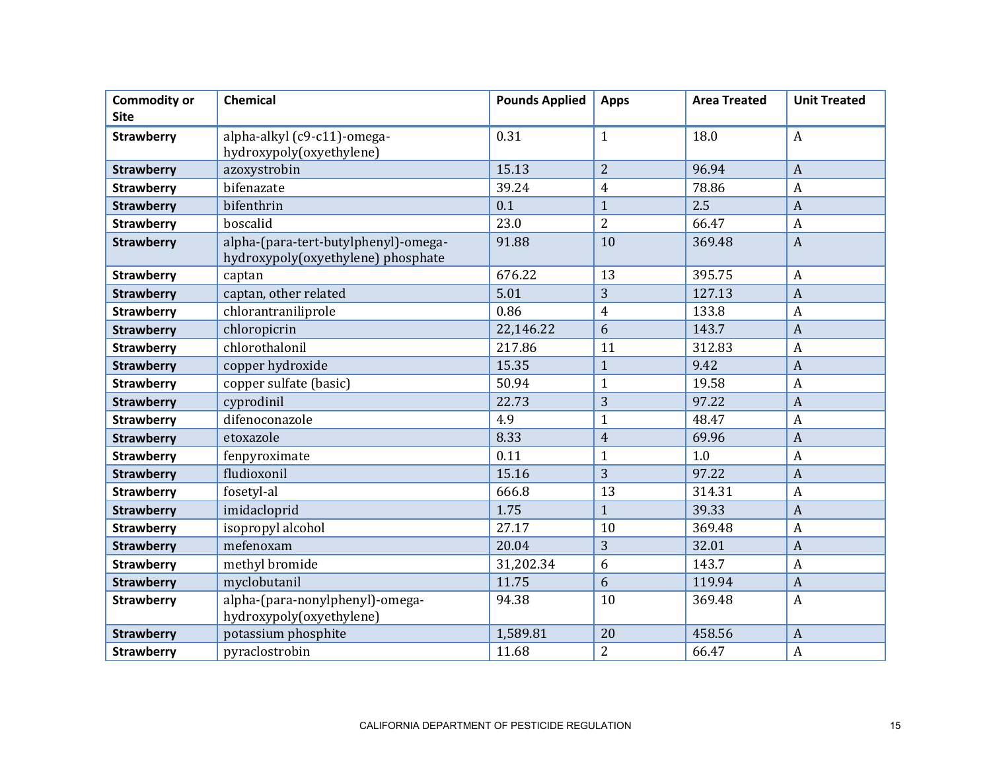| <b>Commodity or</b><br><b>Site</b> | <b>Chemical</b>                                                            | <b>Pounds Applied</b> | <b>Apps</b>    | <b>Area Treated</b> | <b>Unit Treated</b> |
|------------------------------------|----------------------------------------------------------------------------|-----------------------|----------------|---------------------|---------------------|
| <b>Strawberry</b>                  | alpha-alkyl (c9-c11)-omega-                                                | 0.31                  | $\mathbf{1}$   | 18.0                | $\boldsymbol{A}$    |
|                                    | hydroxypoly(oxyethylene)                                                   |                       |                |                     |                     |
| <b>Strawberry</b>                  | azoxystrobin                                                               | 15.13                 | $\overline{2}$ | 96.94               | $\overline{A}$      |
| <b>Strawberry</b>                  | bifenazate                                                                 | 39.24                 | $\overline{4}$ | 78.86               | $\overline{A}$      |
| <b>Strawberry</b>                  | bifenthrin                                                                 | 0.1                   | $\mathbf{1}$   | 2.5                 | $\overline{A}$      |
| <b>Strawberry</b>                  | boscalid                                                                   | 23.0                  | $\overline{2}$ | 66.47               | $\boldsymbol{A}$    |
| <b>Strawberry</b>                  | alpha-(para-tert-butylphenyl)-omega-<br>hydroxypoly(oxyethylene) phosphate | 91.88                 | 10             | 369.48              | $\overline{A}$      |
| <b>Strawberry</b>                  | captan                                                                     | 676.22                | 13             | 395.75              | $\boldsymbol{A}$    |
| <b>Strawberry</b>                  | captan, other related                                                      | 5.01                  | 3              | 127.13              | $\overline{A}$      |
| <b>Strawberry</b>                  | chlorantraniliprole                                                        | 0.86                  | $\overline{4}$ | 133.8               | $\overline{A}$      |
| <b>Strawberry</b>                  | chloropicrin                                                               | 22,146.22             | 6              | 143.7               | $\overline{A}$      |
| <b>Strawberry</b>                  | chlorothalonil                                                             | 217.86                | 11             | 312.83              | $\overline{A}$      |
| <b>Strawberry</b>                  | copper hydroxide                                                           | 15.35                 | $\mathbf{1}$   | 9.42                | $\overline{A}$      |
| <b>Strawberry</b>                  | copper sulfate (basic)                                                     | 50.94                 | $\mathbf{1}$   | 19.58               | $\overline{A}$      |
| <b>Strawberry</b>                  | cyprodinil                                                                 | 22.73                 | 3              | 97.22               | $\overline{A}$      |
| <b>Strawberry</b>                  | difenoconazole                                                             | 4.9                   | $\mathbf{1}$   | 48.47               | $\boldsymbol{A}$    |
| <b>Strawberry</b>                  | etoxazole                                                                  | 8.33                  | $\overline{4}$ | 69.96               | $\overline{A}$      |
| <b>Strawberry</b>                  | fenpyroximate                                                              | 0.11                  | $\mathbf{1}$   | 1.0                 | $\overline{A}$      |
| <b>Strawberry</b>                  | fludioxonil                                                                | 15.16                 | 3              | 97.22               | $\overline{A}$      |
| <b>Strawberry</b>                  | fosetyl-al                                                                 | 666.8                 | 13             | 314.31              | $\overline{A}$      |
| <b>Strawberry</b>                  | imidacloprid                                                               | 1.75                  | $\mathbf{1}$   | 39.33               | $\overline{A}$      |
| <b>Strawberry</b>                  | isopropyl alcohol                                                          | 27.17                 | 10             | 369.48              | $\overline{A}$      |
| <b>Strawberry</b>                  | mefenoxam                                                                  | 20.04                 | 3              | 32.01               | $\overline{A}$      |
| <b>Strawberry</b>                  | methyl bromide                                                             | 31,202.34             | 6              | 143.7               | $\overline{A}$      |
| <b>Strawberry</b>                  | myclobutanil                                                               | 11.75                 | 6              | 119.94              | $\overline{A}$      |
| <b>Strawberry</b>                  | alpha-(para-nonylphenyl)-omega-<br>hydroxypoly(oxyethylene)                | 94.38                 | 10             | 369.48              | A                   |
| <b>Strawberry</b>                  | potassium phosphite                                                        | 1,589.81              | 20             | 458.56              | $\overline{A}$      |
| <b>Strawberry</b>                  | pyraclostrobin                                                             | 11.68                 | $\overline{2}$ | 66.47               | $\boldsymbol{A}$    |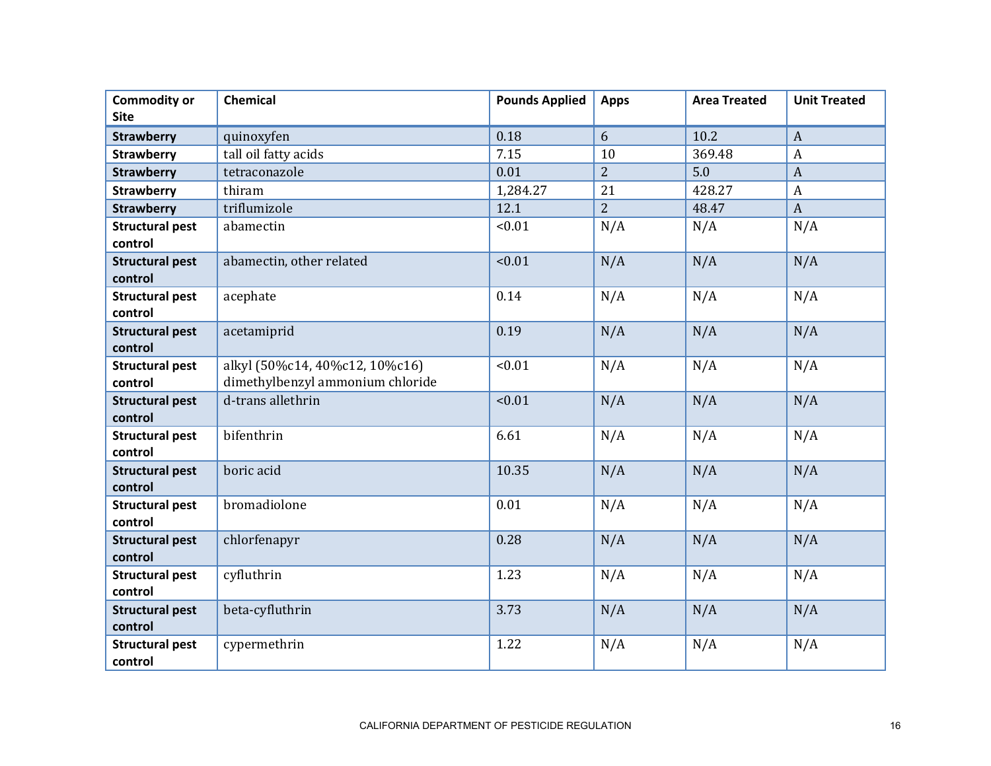| <b>Commodity or</b><br><b>Site</b> | <b>Chemical</b>                                                    | <b>Pounds Applied</b> | <b>Apps</b>    | <b>Area Treated</b> | <b>Unit Treated</b> |
|------------------------------------|--------------------------------------------------------------------|-----------------------|----------------|---------------------|---------------------|
|                                    |                                                                    |                       |                |                     |                     |
| <b>Strawberry</b>                  | quinoxyfen                                                         | 0.18                  | 6              | 10.2                | $\boldsymbol{A}$    |
| <b>Strawberry</b>                  | tall oil fatty acids                                               | 7.15                  | 10             | 369.48              | $\boldsymbol{A}$    |
| <b>Strawberry</b>                  | tetraconazole                                                      | 0.01                  | $\overline{2}$ | 5.0                 | $\overline{A}$      |
| <b>Strawberry</b>                  | thiram                                                             | 1,284.27              | 21             | 428.27              | $\mathbf{A}$        |
| <b>Strawberry</b>                  | triflumizole                                                       | 12.1                  | $\overline{2}$ | 48.47               | $\boldsymbol{A}$    |
| <b>Structural pest</b><br>control  | abamectin                                                          | < 0.01                | N/A            | N/A                 | N/A                 |
| <b>Structural pest</b><br>control  | abamectin, other related                                           | < 0.01                | N/A            | N/A                 | N/A                 |
| <b>Structural pest</b><br>control  | acephate                                                           | 0.14                  | N/A            | N/A                 | N/A                 |
| <b>Structural pest</b><br>control  | acetamiprid                                                        | 0.19                  | N/A            | N/A                 | N/A                 |
| <b>Structural pest</b><br>control  | alkyl (50%c14, 40%c12, 10%c16)<br>dimethylbenzyl ammonium chloride | < 0.01                | N/A            | N/A                 | N/A                 |
| <b>Structural pest</b><br>control  | d-trans allethrin                                                  | < 0.01                | N/A            | N/A                 | N/A                 |
| <b>Structural pest</b><br>control  | bifenthrin                                                         | 6.61                  | N/A            | N/A                 | N/A                 |
| <b>Structural pest</b><br>control  | boric acid                                                         | 10.35                 | N/A            | N/A                 | N/A                 |
| <b>Structural pest</b><br>control  | bromadiolone                                                       | 0.01                  | N/A            | N/A                 | N/A                 |
| <b>Structural pest</b><br>control  | chlorfenapyr                                                       | 0.28                  | N/A            | N/A                 | N/A                 |
| <b>Structural pest</b><br>control  | cyfluthrin                                                         | 1.23                  | N/A            | N/A                 | N/A                 |
| <b>Structural pest</b><br>control  | beta-cyfluthrin                                                    | 3.73                  | N/A            | N/A                 | N/A                 |
| <b>Structural pest</b><br>control  | cypermethrin                                                       | 1.22                  | N/A            | N/A                 | N/A                 |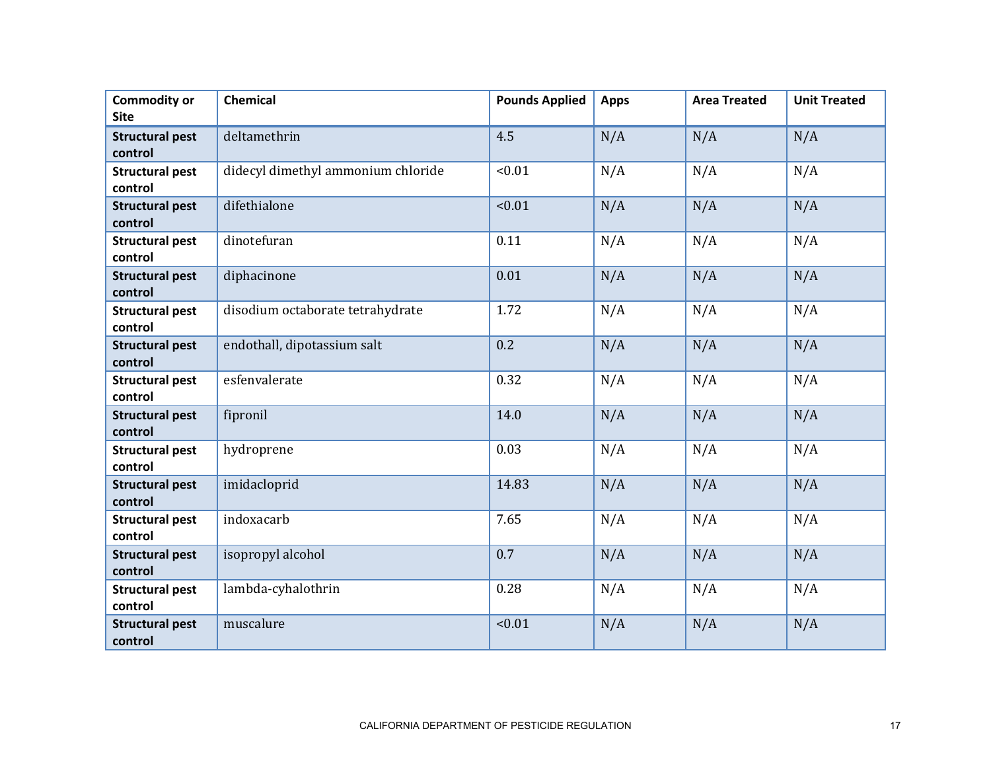| <b>Commodity or</b><br><b>Site</b> | <b>Chemical</b>                    | <b>Pounds Applied</b> | <b>Apps</b> | <b>Area Treated</b> | <b>Unit Treated</b> |
|------------------------------------|------------------------------------|-----------------------|-------------|---------------------|---------------------|
|                                    |                                    |                       |             |                     |                     |
| <b>Structural pest</b><br>control  | deltamethrin                       | 4.5                   | N/A         | N/A                 | N/A                 |
| <b>Structural pest</b><br>control  | didecyl dimethyl ammonium chloride | < 0.01                | N/A         | N/A                 | N/A                 |
| <b>Structural pest</b><br>control  | difethialone                       | < 0.01                | N/A         | N/A                 | N/A                 |
| <b>Structural pest</b><br>control  | dinotefuran                        | 0.11                  | N/A         | N/A                 | N/A                 |
| <b>Structural pest</b><br>control  | diphacinone                        | 0.01                  | N/A         | N/A                 | N/A                 |
| <b>Structural pest</b><br>control  | disodium octaborate tetrahydrate   | 1.72                  | N/A         | N/A                 | N/A                 |
| <b>Structural pest</b><br>control  | endothall, dipotassium salt        | 0.2                   | N/A         | N/A                 | N/A                 |
| <b>Structural pest</b><br>control  | esfenvalerate                      | 0.32                  | N/A         | N/A                 | N/A                 |
| <b>Structural pest</b><br>control  | fipronil                           | 14.0                  | N/A         | N/A                 | N/A                 |
| <b>Structural pest</b><br>control  | hydroprene                         | 0.03                  | N/A         | N/A                 | N/A                 |
| <b>Structural pest</b><br>control  | imidacloprid                       | 14.83                 | N/A         | N/A                 | N/A                 |
| <b>Structural pest</b><br>control  | indoxacarb                         | 7.65                  | N/A         | N/A                 | N/A                 |
| <b>Structural pest</b><br>control  | isopropyl alcohol                  | 0.7                   | N/A         | N/A                 | N/A                 |
| <b>Structural pest</b><br>control  | lambda-cyhalothrin                 | 0.28                  | N/A         | N/A                 | N/A                 |
| <b>Structural pest</b><br>control  | muscalure                          | < 0.01                | N/A         | N/A                 | N/A                 |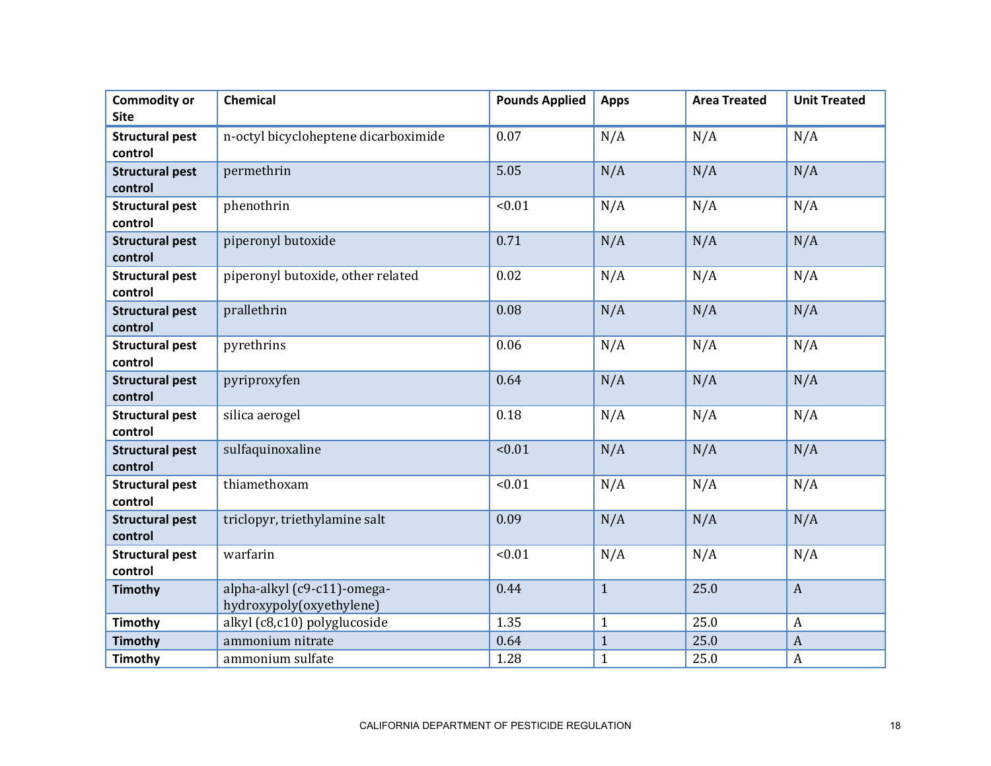| <b>Commodity or</b><br><b>Site</b> | Chemical                                                | <b>Pounds Applied</b> | <b>Apps</b>  | <b>Area Treated</b> | <b>Unit Treated</b> |
|------------------------------------|---------------------------------------------------------|-----------------------|--------------|---------------------|---------------------|
| <b>Structural pest</b><br>control  | n-octyl bicycloheptene dicarboximide                    | 0.07                  | N/A          | N/A                 | N/A                 |
| <b>Structural pest</b><br>control  | permethrin                                              | 5.05                  | N/A          | N/A                 | N/A                 |
| <b>Structural pest</b><br>control  | phenothrin                                              | < 0.01                | N/A          | N/A                 | N/A                 |
| <b>Structural pest</b><br>control  | piperonyl butoxide                                      | 0.71                  | N/A          | N/A                 | N/A                 |
| <b>Structural pest</b><br>control  | piperonyl butoxide, other related                       | 0.02                  | N/A          | N/A                 | N/A                 |
| <b>Structural pest</b><br>control  | prallethrin                                             | 0.08                  | N/A          | N/A                 | N/A                 |
| <b>Structural pest</b><br>control  | pyrethrins                                              | 0.06                  | N/A          | N/A                 | N/A                 |
| <b>Structural pest</b><br>control  | pyriproxyfen                                            | 0.64                  | N/A          | N/A                 | N/A                 |
| <b>Structural pest</b><br>control  | silica aerogel                                          | 0.18                  | N/A          | N/A                 | N/A                 |
| <b>Structural pest</b><br>control  | sulfaquinoxaline                                        | < 0.01                | N/A          | N/A                 | N/A                 |
| <b>Structural pest</b><br>control  | thiamethoxam                                            | < 0.01                | N/A          | N/A                 | N/A                 |
| <b>Structural pest</b><br>control  | triclopyr, triethylamine salt                           | 0.09                  | N/A          | N/A                 | N/A                 |
| <b>Structural pest</b><br>control  | warfarin                                                | < 0.01                | N/A          | N/A                 | N/A                 |
| <b>Timothy</b>                     | alpha-alkyl (c9-c11)-omega-<br>hydroxypoly(oxyethylene) | 0.44                  | $\mathbf{1}$ | 25.0                | $\boldsymbol{A}$    |
| <b>Timothy</b>                     | alkyl (c8,c10) polyglucoside                            | 1.35                  | $\mathbf{1}$ | 25.0                | $\boldsymbol{A}$    |
| <b>Timothy</b>                     | ammonium nitrate                                        | 0.64                  | $\mathbf{1}$ | 25.0                | $\mathbf{A}$        |
| <b>Timothy</b>                     | ammonium sulfate                                        | 1.28                  | $\mathbf{1}$ | 25.0                | $\boldsymbol{A}$    |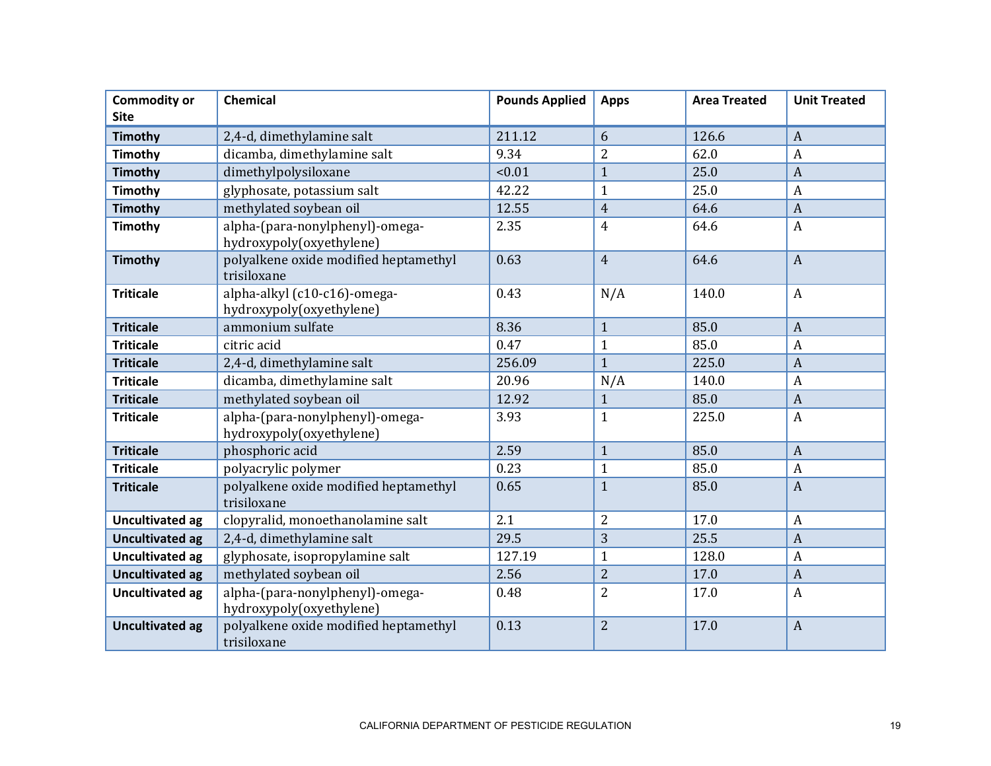| <b>Commodity or</b>    | <b>Chemical</b>                                             | <b>Pounds Applied</b> | <b>Apps</b>    | <b>Area Treated</b> | <b>Unit Treated</b> |
|------------------------|-------------------------------------------------------------|-----------------------|----------------|---------------------|---------------------|
| <b>Site</b>            |                                                             |                       |                |                     |                     |
| Timothy                | 2,4-d, dimethylamine salt                                   | 211.12                | 6              | 126.6               | $\boldsymbol{A}$    |
| <b>Timothy</b>         | dicamba, dimethylamine salt                                 | 9.34                  | $\overline{2}$ | 62.0                | A                   |
| Timothy                | dimethylpolysiloxane                                        | < 0.01                | $\mathbf{1}$   | 25.0                | $\boldsymbol{A}$    |
| <b>Timothy</b>         | glyphosate, potassium salt                                  | 42.22                 | $\mathbf{1}$   | 25.0                | $\boldsymbol{A}$    |
| <b>Timothy</b>         | methylated soybean oil                                      | 12.55                 | $\overline{4}$ | 64.6                | $\overline{A}$      |
| Timothy                | alpha-(para-nonylphenyl)-omega-<br>hydroxypoly(oxyethylene) | 2.35                  | $\overline{4}$ | 64.6                | $\boldsymbol{A}$    |
| <b>Timothy</b>         | polyalkene oxide modified heptamethyl<br>trisiloxane        | 0.63                  | $\overline{4}$ | 64.6                | $\overline{A}$      |
| <b>Triticale</b>       | alpha-alkyl (c10-c16)-omega-<br>hydroxypoly(oxyethylene)    | 0.43                  | N/A            | 140.0               | $\boldsymbol{A}$    |
| <b>Triticale</b>       | ammonium sulfate                                            | 8.36                  | $\mathbf{1}$   | 85.0                | $\overline{A}$      |
| <b>Triticale</b>       | citric acid                                                 | 0.47                  | $\mathbf{1}$   | 85.0                | $\boldsymbol{A}$    |
| <b>Triticale</b>       | 2,4-d, dimethylamine salt                                   | 256.09                | $\mathbf{1}$   | 225.0               | $\overline{A}$      |
| <b>Triticale</b>       | dicamba, dimethylamine salt                                 | 20.96                 | N/A            | 140.0               | $\boldsymbol{A}$    |
| <b>Triticale</b>       | methylated soybean oil                                      | 12.92                 | $\mathbf{1}$   | 85.0                | $\overline{A}$      |
| <b>Triticale</b>       | alpha-(para-nonylphenyl)-omega-<br>hydroxypoly(oxyethylene) | 3.93                  | $\mathbf{1}$   | 225.0               | $\boldsymbol{A}$    |
| <b>Triticale</b>       | phosphoric acid                                             | 2.59                  | $\mathbf{1}$   | 85.0                | $\boldsymbol{A}$    |
| <b>Triticale</b>       | polyacrylic polymer                                         | 0.23                  | $\mathbf{1}$   | 85.0                | $\boldsymbol{A}$    |
| <b>Triticale</b>       | polyalkene oxide modified heptamethyl<br>trisiloxane        | 0.65                  | $\mathbf{1}$   | 85.0                | $\mathbf{A}$        |
| <b>Uncultivated ag</b> | clopyralid, monoethanolamine salt                           | 2.1                   | $\overline{2}$ | 17.0                | $\boldsymbol{A}$    |
| <b>Uncultivated ag</b> | 2,4-d, dimethylamine salt                                   | 29.5                  | 3              | 25.5                | $\boldsymbol{A}$    |
| <b>Uncultivated ag</b> | glyphosate, isopropylamine salt                             | 127.19                | $\mathbf{1}$   | 128.0               | $\boldsymbol{A}$    |
| <b>Uncultivated ag</b> | methylated soybean oil                                      | 2.56                  | $\overline{2}$ | 17.0                | $\overline{A}$      |
| <b>Uncultivated ag</b> | alpha-(para-nonylphenyl)-omega-<br>hydroxypoly(oxyethylene) | 0.48                  | $\overline{2}$ | 17.0                | $\boldsymbol{A}$    |
| <b>Uncultivated ag</b> | polyalkene oxide modified heptamethyl<br>trisiloxane        | 0.13                  | $\overline{2}$ | 17.0                | $\overline{A}$      |